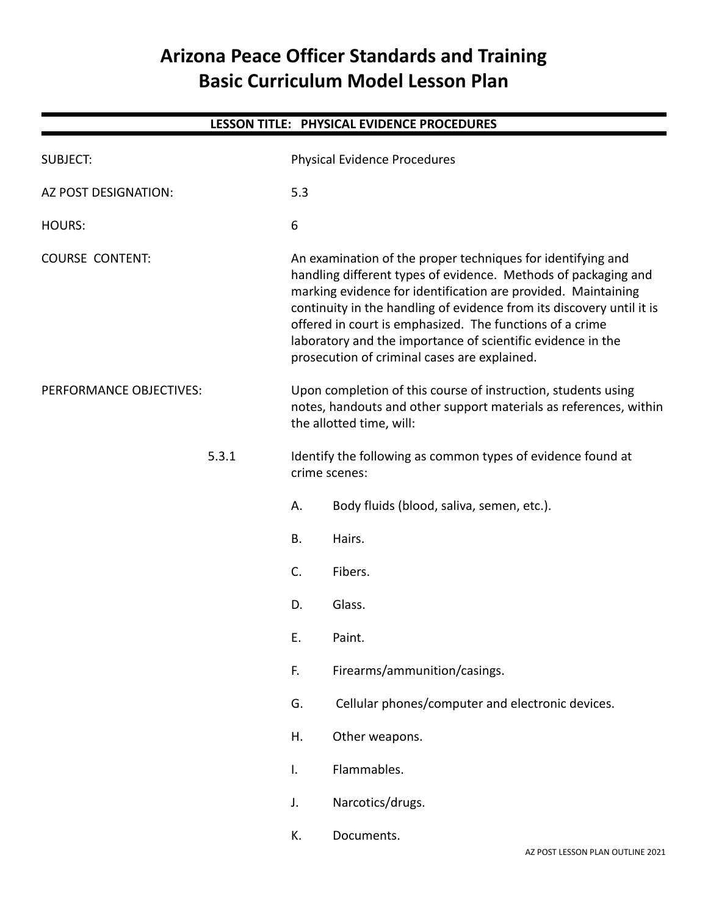## **Arizona Peace Officer Standards and Training Basic Curriculum Model Lesson Plan**

|                         |       |                | LESSON TITLE: PHYSICAL EVIDENCE PROCEDURES                                                                                                                                                                                                                                                                                                                                                                                                         |
|-------------------------|-------|----------------|----------------------------------------------------------------------------------------------------------------------------------------------------------------------------------------------------------------------------------------------------------------------------------------------------------------------------------------------------------------------------------------------------------------------------------------------------|
| <b>SUBJECT:</b>         |       |                | Physical Evidence Procedures                                                                                                                                                                                                                                                                                                                                                                                                                       |
| AZ POST DESIGNATION:    |       | 5.3            |                                                                                                                                                                                                                                                                                                                                                                                                                                                    |
| <b>HOURS:</b>           |       | 6              |                                                                                                                                                                                                                                                                                                                                                                                                                                                    |
| <b>COURSE CONTENT:</b>  |       |                | An examination of the proper techniques for identifying and<br>handling different types of evidence. Methods of packaging and<br>marking evidence for identification are provided. Maintaining<br>continuity in the handling of evidence from its discovery until it is<br>offered in court is emphasized. The functions of a crime<br>laboratory and the importance of scientific evidence in the<br>prosecution of criminal cases are explained. |
| PERFORMANCE OBJECTIVES: |       |                | Upon completion of this course of instruction, students using<br>notes, handouts and other support materials as references, within<br>the allotted time, will:                                                                                                                                                                                                                                                                                     |
|                         | 5.3.1 |                | Identify the following as common types of evidence found at<br>crime scenes:                                                                                                                                                                                                                                                                                                                                                                       |
|                         |       | А.             | Body fluids (blood, saliva, semen, etc.).                                                                                                                                                                                                                                                                                                                                                                                                          |
|                         |       | <b>B.</b>      | Hairs.                                                                                                                                                                                                                                                                                                                                                                                                                                             |
|                         |       | C.             | Fibers.                                                                                                                                                                                                                                                                                                                                                                                                                                            |
|                         |       | D.             | Glass.                                                                                                                                                                                                                                                                                                                                                                                                                                             |
|                         |       | Ε.             | Paint.                                                                                                                                                                                                                                                                                                                                                                                                                                             |
|                         |       | F.             | Firearms/ammunition/casings.                                                                                                                                                                                                                                                                                                                                                                                                                       |
|                         |       | G.             | Cellular phones/computer and electronic devices.                                                                                                                                                                                                                                                                                                                                                                                                   |
|                         |       | Η.             | Other weapons.                                                                                                                                                                                                                                                                                                                                                                                                                                     |
|                         |       | $\mathsf{I}$ . | Flammables.                                                                                                                                                                                                                                                                                                                                                                                                                                        |
|                         |       | J.             | Narcotics/drugs.                                                                                                                                                                                                                                                                                                                                                                                                                                   |
|                         |       | К.             | Documents.<br>AZ POST LESSON PLAN OUTLINE 2021                                                                                                                                                                                                                                                                                                                                                                                                     |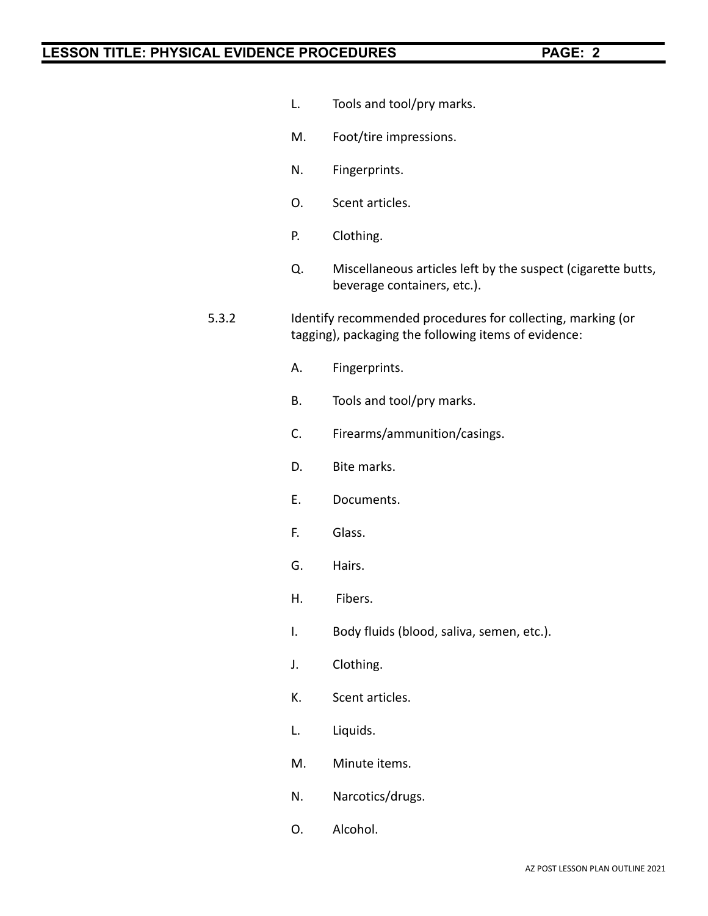- L. Tools and tool/pry marks.
- M. Foot/tire impressions.
- N. Fingerprints.
- O. Scent articles.
- P. Clothing.
- Q. Miscellaneous articles left by the suspect (cigarette butts, beverage containers, etc.).
- 5.3.2 Identify recommended procedures for collecting, marking (or tagging), packaging the following items of evidence:
	- A. Fingerprints.
	- B. Tools and tool/pry marks.
	- C. Firearms/ammunition/casings.
	- D. Bite marks.
	- E. Documents.
	- F. Glass.
	- G. Hairs.
	- H. Fibers.
	- I. Body fluids (blood, saliva, semen, etc.).
	- J. Clothing.
	- K. Scent articles.
	- L. Liquids.
	- M. Minute items.
	- N. Narcotics/drugs.
	- O. Alcohol.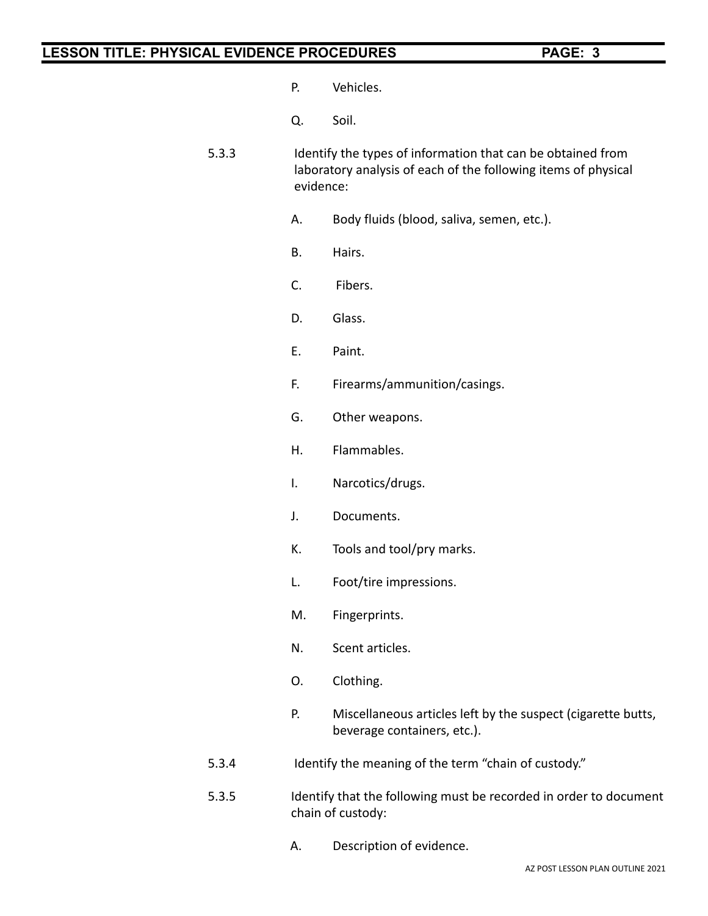- P. Vehicles.
- Q. Soil.
- 5.3.3 Identify the types of information that can be obtained from laboratory analysis of each of the following items of physical evidence:
	- A. Body fluids (blood, saliva, semen, etc.).
	- B. Hairs.
	- C. Fibers.
	- D. Glass.
	- E. Paint.
	- F. Firearms/ammunition/casings.
	- G. Other weapons.
	- H. Flammables.
	- I. Narcotics/drugs.
	- J. Documents.
	- K. Tools and tool/pry marks.
	- L. Foot/tire impressions.
	- M. Fingerprints.
	- N. Scent articles.
	- O. Clothing.
	- P. Miscellaneous articles left by the suspect (cigarette butts, beverage containers, etc.).
- 5.3.4 Identify the meaning of the term "chain of custody."
- 5.3.5 Identify that the following must be recorded in order to document chain of custody:
	- A. Description of evidence.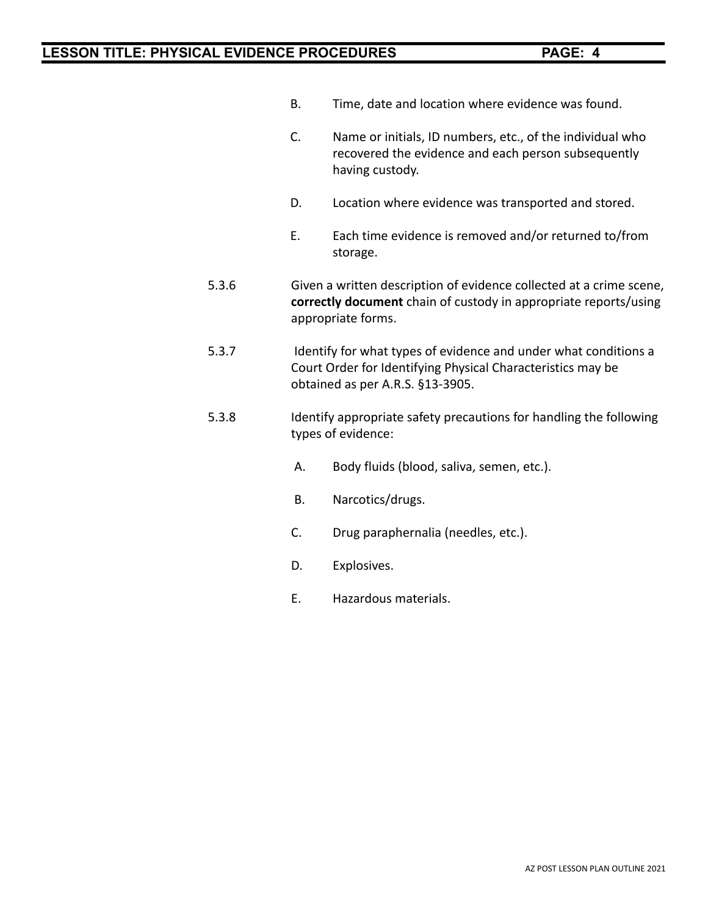- B. Time, date and location where evidence was found.
- C. Name or initials, ID numbers, etc., of the individual who recovered the evidence and each person subsequently having custody.
- D. Location where evidence was transported and stored.
- E. Each time evidence is removed and/or returned to/from storage.
- 5.3.6 Given a written description of evidence collected at a crime scene, **correctly document** chain of custody in appropriate reports/using appropriate forms.
- 5.3.7 Identify for what types of evidence and under what conditions a Court Order for Identifying Physical Characteristics may be obtained as per A.R.S. §13-3905.
- 5.3.8 Identify appropriate safety precautions for handling the following types of evidence:
	- A. Body fluids (blood, saliva, semen, etc.).
	- B. Narcotics/drugs.
	- C. Drug paraphernalia (needles, etc.).
	- D. Explosives.
	- E. Hazardous materials.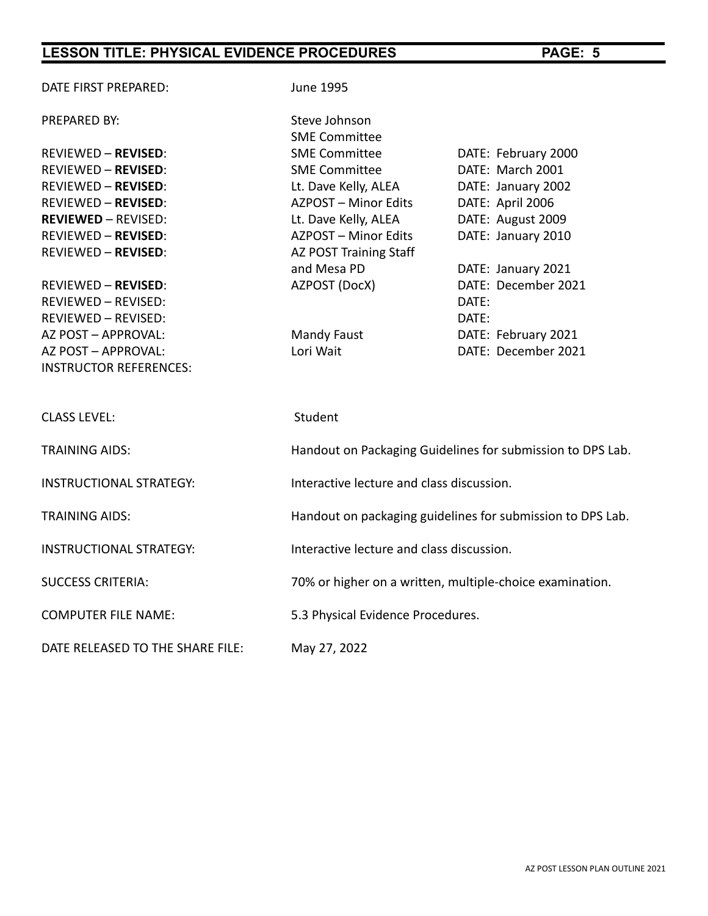PREPARED BY: Steve Johnson

| <b>REVIEWED - REVISED:</b>     | <b>SME Committee</b>                                     | DATE: February 2000                                        |
|--------------------------------|----------------------------------------------------------|------------------------------------------------------------|
| <b>REVIEWED - REVISED:</b>     | <b>SME Committee</b>                                     | DATE: March 2001                                           |
| <b>REVIEWED - REVISED:</b>     | Lt. Dave Kelly, ALEA                                     | DATE: January 2002                                         |
| <b>REVIEWED - REVISED:</b>     | AZPOST - Minor Edits                                     | DATE: April 2006                                           |
| <b>REVIEWED - REVISED:</b>     | Lt. Dave Kelly, ALEA                                     | DATE: August 2009                                          |
| <b>REVIEWED - REVISED:</b>     | AZPOST - Minor Edits                                     | DATE: January 2010                                         |
| <b>REVIEWED - REVISED:</b>     | AZ POST Training Staff                                   |                                                            |
|                                | and Mesa PD                                              | DATE: January 2021                                         |
| <b>REVIEWED - REVISED:</b>     | AZPOST (DocX)                                            | DATE: December 2021                                        |
| REVIEWED - REVISED:            |                                                          | DATE:                                                      |
| REVIEWED - REVISED:            |                                                          | DATE:                                                      |
| AZ POST - APPROVAL:            | Mandy Faust                                              | DATE: February 2021                                        |
| AZ POST - APPROVAL:            | Lori Wait                                                | DATE: December 2021                                        |
| <b>INSTRUCTOR REFERENCES:</b>  |                                                          |                                                            |
|                                |                                                          |                                                            |
|                                |                                                          |                                                            |
| <b>CLASS LEVEL:</b>            | Student                                                  |                                                            |
|                                |                                                          |                                                            |
| <b>TRAINING AIDS:</b>          |                                                          | Handout on Packaging Guidelines for submission to DPS Lab. |
|                                |                                                          |                                                            |
| <b>INSTRUCTIONAL STRATEGY:</b> | Interactive lecture and class discussion.                |                                                            |
|                                |                                                          |                                                            |
| <b>TRAINING AIDS:</b>          |                                                          | Handout on packaging guidelines for submission to DPS Lab. |
|                                |                                                          |                                                            |
| <b>INSTRUCTIONAL STRATEGY:</b> | Interactive lecture and class discussion.                |                                                            |
|                                |                                                          |                                                            |
| <b>SUCCESS CRITERIA:</b>       | 70% or higher on a written, multiple-choice examination. |                                                            |
|                                |                                                          |                                                            |
| <b>COMPUTER FILE NAME:</b>     | 5.3 Physical Evidence Procedures.                        |                                                            |

DATE RELEASED TO THE SHARE FILE: May 27, 2022

DATE FIRST PREPARED: June 1995

SME Committee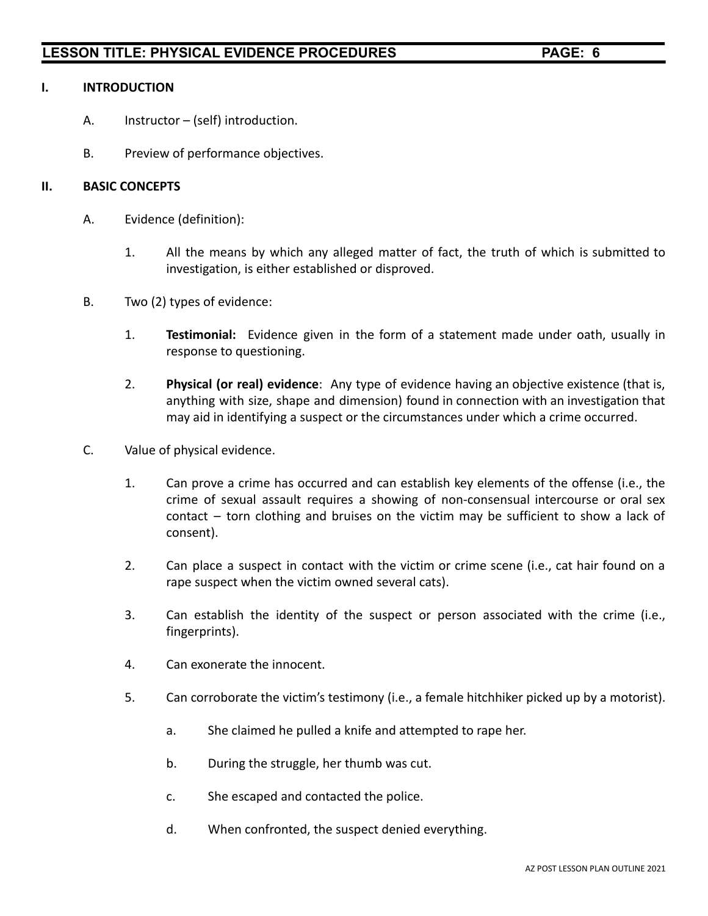#### **I. INTRODUCTION**

- A. Instructor (self) introduction.
- B. Preview of performance objectives.

#### **II. BASIC CONCEPTS**

- A. Evidence (definition):
	- 1. All the means by which any alleged matter of fact, the truth of which is submitted to investigation, is either established or disproved.
- B. Two (2) types of evidence:
	- 1. **Testimonial:** Evidence given in the form of a statement made under oath, usually in response to questioning.
	- 2. **Physical (or real) evidence**: Any type of evidence having an objective existence (that is, anything with size, shape and dimension) found in connection with an investigation that may aid in identifying a suspect or the circumstances under which a crime occurred.
- C. Value of physical evidence.
	- 1. Can prove a crime has occurred and can establish key elements of the offense (i.e., the crime of sexual assault requires a showing of non-consensual intercourse or oral sex contact – torn clothing and bruises on the victim may be sufficient to show a lack of consent).
	- 2. Can place a suspect in contact with the victim or crime scene (i.e., cat hair found on a rape suspect when the victim owned several cats).
	- 3. Can establish the identity of the suspect or person associated with the crime (i.e., fingerprints).
	- 4. Can exonerate the innocent.
	- 5. Can corroborate the victim's testimony (i.e., a female hitchhiker picked up by a motorist).
		- a. She claimed he pulled a knife and attempted to rape her.
		- b. During the struggle, her thumb was cut.
		- c. She escaped and contacted the police.
		- d. When confronted, the suspect denied everything.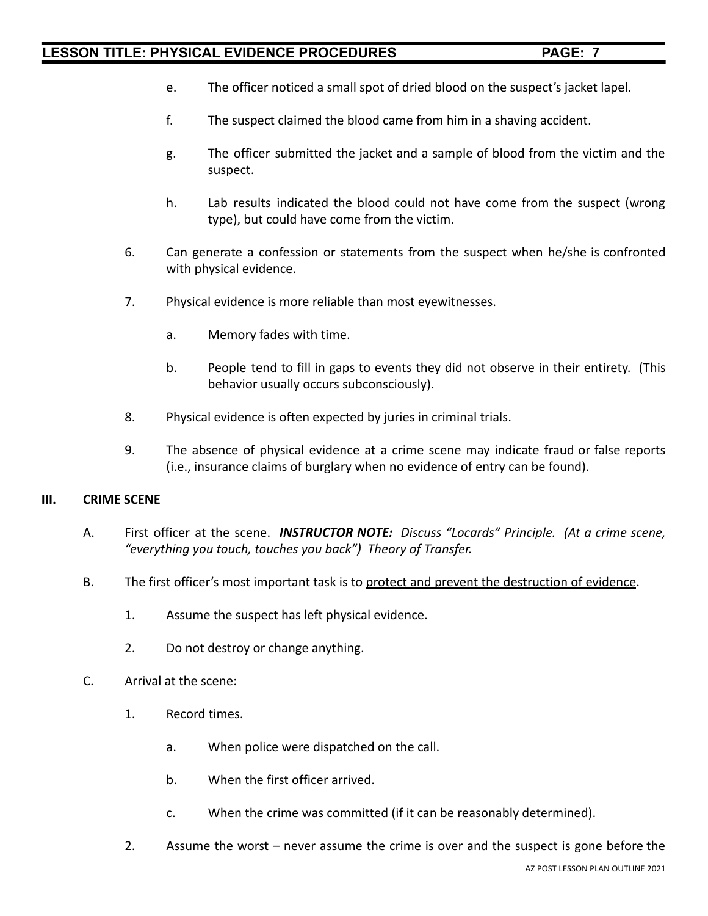- e. The officer noticed a small spot of dried blood on the suspect's jacket lapel.
- f. The suspect claimed the blood came from him in a shaving accident.
- g. The officer submitted the jacket and a sample of blood from the victim and the suspect.
- h. Lab results indicated the blood could not have come from the suspect (wrong type), but could have come from the victim.
- 6. Can generate a confession or statements from the suspect when he/she is confronted with physical evidence.
- 7. Physical evidence is more reliable than most eyewitnesses.
	- a. Memory fades with time.
	- b. People tend to fill in gaps to events they did not observe in their entirety. (This behavior usually occurs subconsciously).
- 8. Physical evidence is often expected by juries in criminal trials.
- 9. The absence of physical evidence at a crime scene may indicate fraud or false reports (i.e., insurance claims of burglary when no evidence of entry can be found).

#### **III. CRIME SCENE**

- A. First officer at the scene. *INSTRUCTOR NOTE: Discuss "Locards" Principle. (At a crime scene, "everything you touch, touches you back") Theory of Transfer.*
- B. The first officer's most important task is to protect and prevent the destruction of evidence.
	- 1. Assume the suspect has left physical evidence.
	- 2. Do not destroy or change anything.
- C. Arrival at the scene:
	- 1. Record times.
		- a. When police were dispatched on the call.
		- b. When the first officer arrived.
		- c. When the crime was committed (if it can be reasonably determined).
	- 2. Assume the worst never assume the crime is over and the suspect is gone before the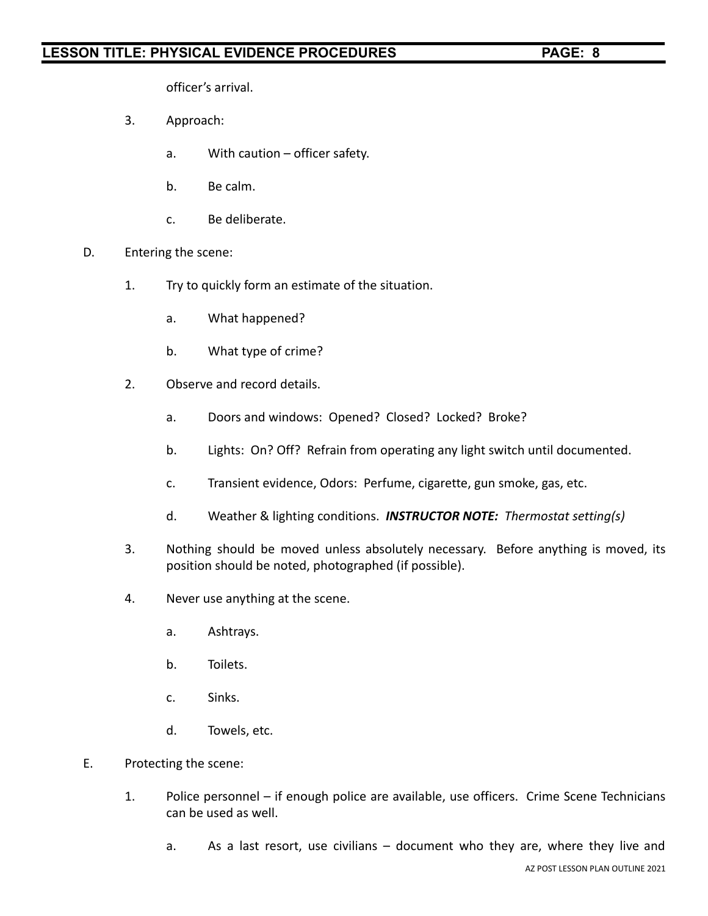officer's arrival.

- 3. Approach:
	- a. With caution officer safety.
	- b. Be calm.
	- c. Be deliberate.
- D. Entering the scene:
	- 1. Try to quickly form an estimate of the situation.
		- a. What happened?
		- b. What type of crime?
	- 2. Observe and record details.
		- a. Doors and windows: Opened? Closed? Locked? Broke?
		- b. Lights: On? Off? Refrain from operating any light switch until documented.
		- c. Transient evidence, Odors: Perfume, cigarette, gun smoke, gas, etc.
		- d. Weather & lighting conditions. *INSTRUCTOR NOTE: Thermostat setting(s)*
	- 3. Nothing should be moved unless absolutely necessary. Before anything is moved, its position should be noted, photographed (if possible).
	- 4. Never use anything at the scene.
		- a. Ashtrays.
		- b. Toilets.
		- c. Sinks.
		- d. Towels, etc.
- E. Protecting the scene:
	- 1. Police personnel if enough police are available, use officers. Crime Scene Technicians can be used as well.
		- a. As a last resort, use civilians document who they are, where they live and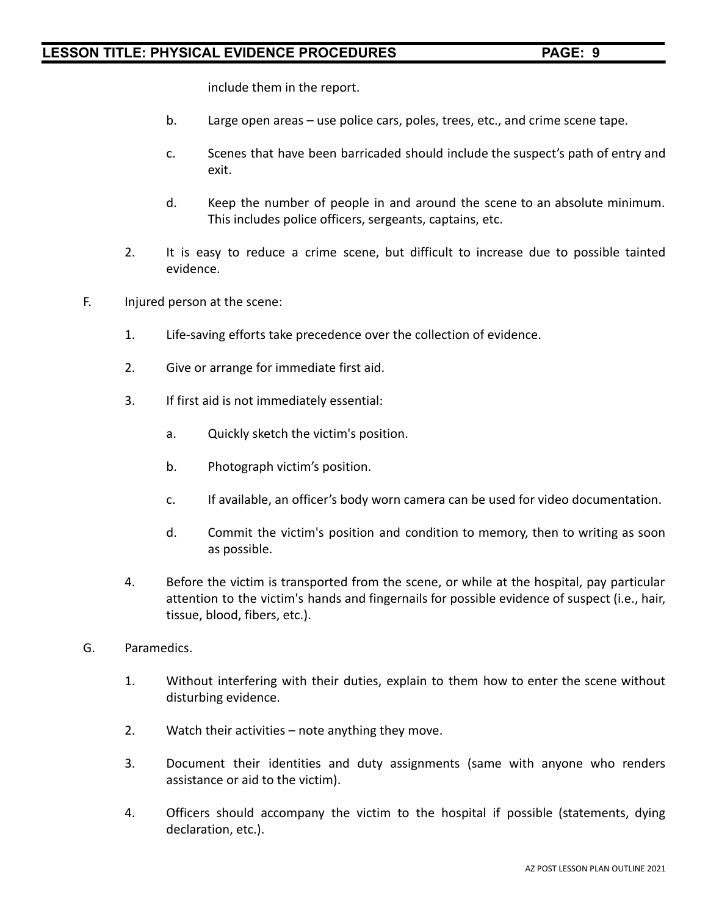include them in the report.

- b. Large open areas use police cars, poles, trees, etc., and crime scene tape.
- c. Scenes that have been barricaded should include the suspect's path of entry and exit.
- d. Keep the number of people in and around the scene to an absolute minimum. This includes police officers, sergeants, captains, etc.
- 2. It is easy to reduce a crime scene, but difficult to increase due to possible tainted evidence.
- F. Injured person at the scene:
	- 1. Life-saving efforts take precedence over the collection of evidence.
	- 2. Give or arrange for immediate first aid.
	- 3. If first aid is not immediately essential:
		- a. Quickly sketch the victim's position.
		- b. Photograph victim's position.
		- c. If available, an officer's body worn camera can be used for video documentation.
		- d. Commit the victim's position and condition to memory, then to writing as soon as possible.
	- 4. Before the victim is transported from the scene, or while at the hospital, pay particular attention to the victim's hands and fingernails for possible evidence of suspect (i.e., hair, tissue, blood, fibers, etc.).
- G. Paramedics.
	- 1. Without interfering with their duties, explain to them how to enter the scene without disturbing evidence.
	- 2. Watch their activities note anything they move.
	- 3. Document their identities and duty assignments (same with anyone who renders assistance or aid to the victim).
	- 4. Officers should accompany the victim to the hospital if possible (statements, dying declaration, etc.).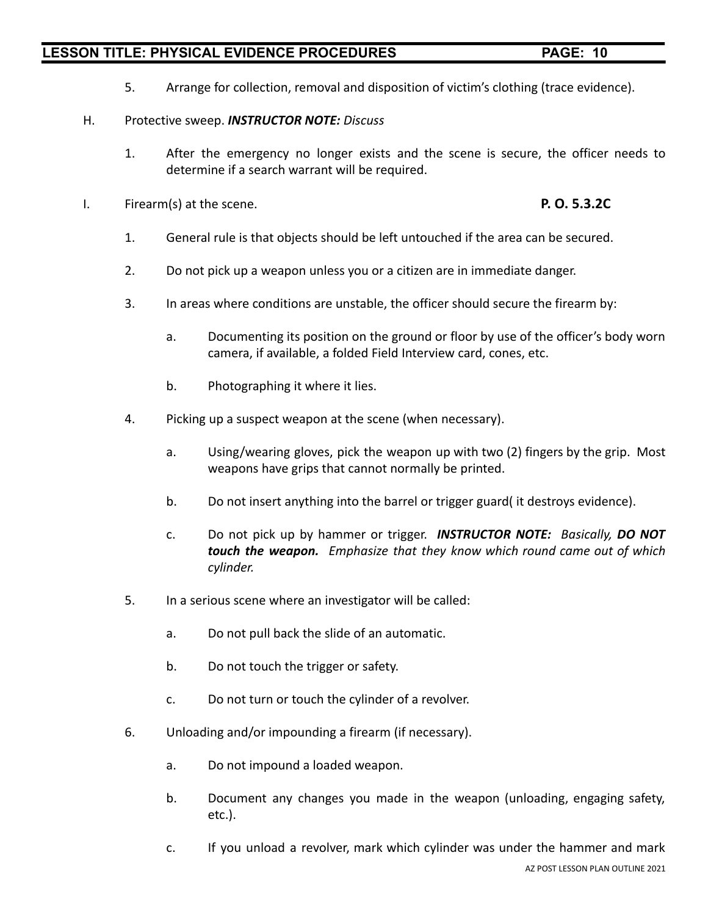- 
- 5. Arrange for collection, removal and disposition of victim's clothing (trace evidence).

#### H. Protective sweep. *INSTRUCTOR NOTE: Discuss*

- 1. After the emergency no longer exists and the scene is secure, the officer needs to determine if a search warrant will be required.
- I. Firearm(s) at the scene. **P. O. 5.3.2C**

- 1. General rule is that objects should be left untouched if the area can be secured.
- 2. Do not pick up a weapon unless you or a citizen are in immediate danger.
- 3. In areas where conditions are unstable, the officer should secure the firearm by:
	- a. Documenting its position on the ground or floor by use of the officer's body worn camera, if available, a folded Field Interview card, cones, etc.
	- b. Photographing it where it lies.
- 4. Picking up a suspect weapon at the scene (when necessary).
	- a. Using/wearing gloves, pick the weapon up with two (2) fingers by the grip. Most weapons have grips that cannot normally be printed.
	- b. Do not insert anything into the barrel or trigger guard( it destroys evidence).
	- c. Do not pick up by hammer or trigger. *INSTRUCTOR NOTE: Basically, DO NOT touch the weapon. Emphasize that they know which round came out of which cylinder.*
- 5. In a serious scene where an investigator will be called:
	- a. Do not pull back the slide of an automatic.
	- b. Do not touch the trigger or safety.
	- c. Do not turn or touch the cylinder of a revolver.
- 6. Unloading and/or impounding a firearm (if necessary).
	- a. Do not impound a loaded weapon.
	- b. Document any changes you made in the weapon (unloading, engaging safety, etc.).
	- c. If you unload a revolver, mark which cylinder was under the hammer and mark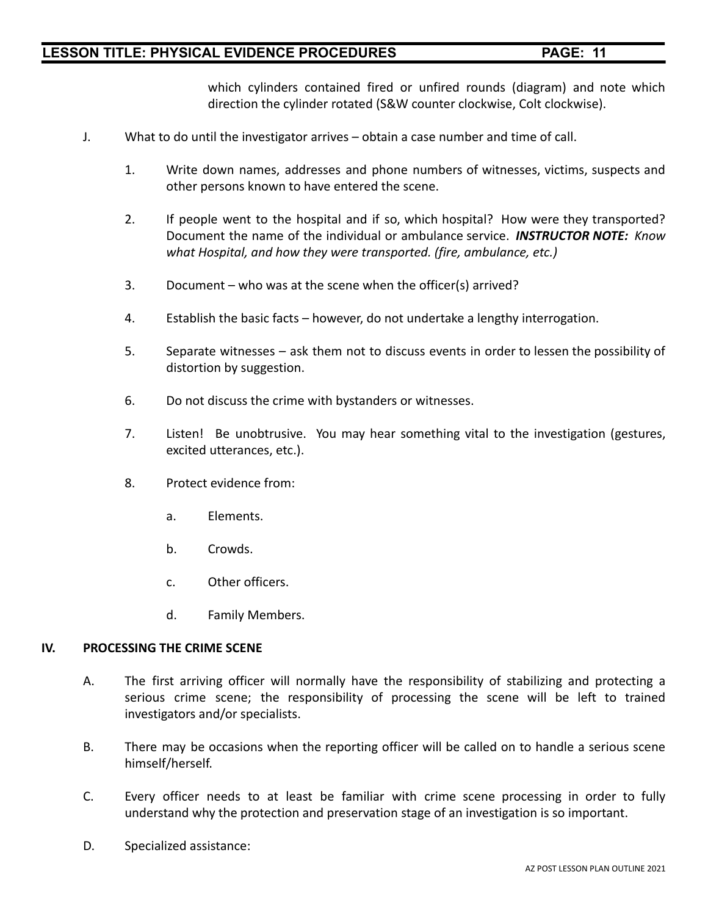which cylinders contained fired or unfired rounds (diagram) and note which direction the cylinder rotated (S&W counter clockwise, Colt clockwise).

- J. What to do until the investigator arrives obtain a case number and time of call.
	- 1. Write down names, addresses and phone numbers of witnesses, victims, suspects and other persons known to have entered the scene.
	- 2. If people went to the hospital and if so, which hospital? How were they transported? Document the name of the individual or ambulance service. *INSTRUCTOR NOTE: Know what Hospital, and how they were transported. (fire, ambulance, etc.)*
	- 3. Document who was at the scene when the officer(s) arrived?
	- 4. Establish the basic facts however, do not undertake a lengthy interrogation.
	- 5. Separate witnesses ask them not to discuss events in order to lessen the possibility of distortion by suggestion.
	- 6. Do not discuss the crime with bystanders or witnesses.
	- 7. Listen! Be unobtrusive. You may hear something vital to the investigation (gestures, excited utterances, etc.).
	- 8. Protect evidence from:
		- a. Elements.
		- b. Crowds.
		- c. Other officers.
		- d. Family Members.

#### **IV. PROCESSING THE CRIME SCENE**

- A. The first arriving officer will normally have the responsibility of stabilizing and protecting a serious crime scene; the responsibility of processing the scene will be left to trained investigators and/or specialists.
- B. There may be occasions when the reporting officer will be called on to handle a serious scene himself/herself.
- C. Every officer needs to at least be familiar with crime scene processing in order to fully understand why the protection and preservation stage of an investigation is so important.
- D. Specialized assistance: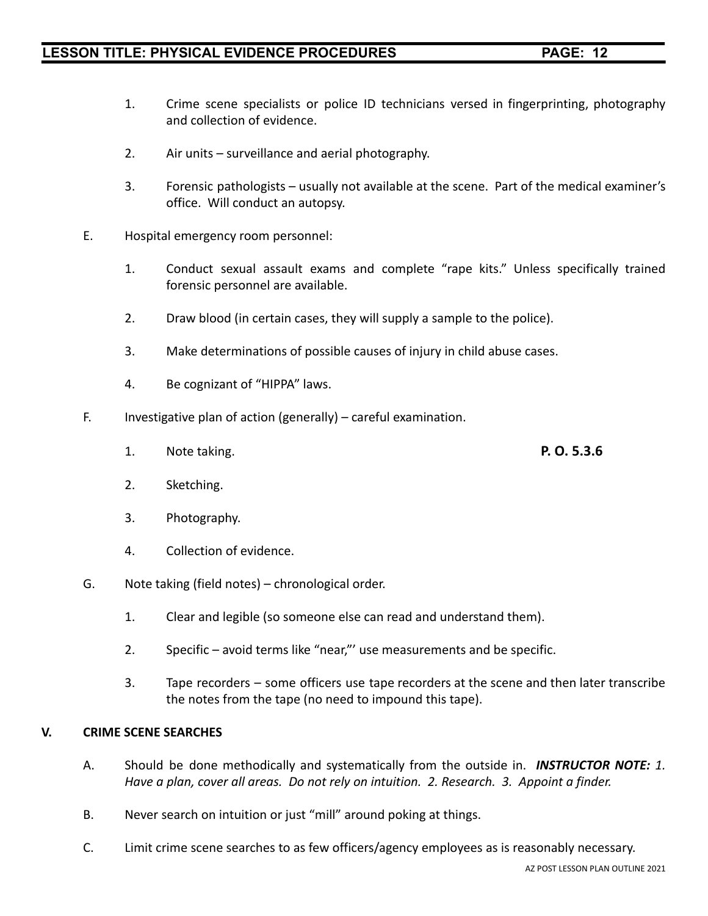- 1. Crime scene specialists or police ID technicians versed in fingerprinting, photography and collection of evidence.
- 2. Air units surveillance and aerial photography.
- 3. Forensic pathologists usually not available at the scene. Part of the medical examiner's office. Will conduct an autopsy.
- E. Hospital emergency room personnel:
	- 1. Conduct sexual assault exams and complete "rape kits." Unless specifically trained forensic personnel are available.
	- 2. Draw blood (in certain cases, they will supply a sample to the police).
	- 3. Make determinations of possible causes of injury in child abuse cases.
	- 4. Be cognizant of "HIPPA" laws.
- F. Investigative plan of action (generally) careful examination.
	- 1. Note taking. **P. O. 5.3.6**
	- 2. Sketching.
		- 3. Photography.
		- 4. Collection of evidence.
- G. Note taking (field notes) chronological order.
	- 1. Clear and legible (so someone else can read and understand them).
	- 2. Specific avoid terms like "near,"' use measurements and be specific.
	- 3. Tape recorders some officers use tape recorders at the scene and then later transcribe the notes from the tape (no need to impound this tape).

#### **V. CRIME SCENE SEARCHES**

- A. Should be done methodically and systematically from the outside in. *INSTRUCTOR NOTE: 1. Have a plan, cover all areas. Do not rely on intuition. 2. Research. 3. Appoint a finder.*
- B. Never search on intuition or just "mill" around poking at things.
- C. Limit crime scene searches to as few officers/agency employees as is reasonably necessary.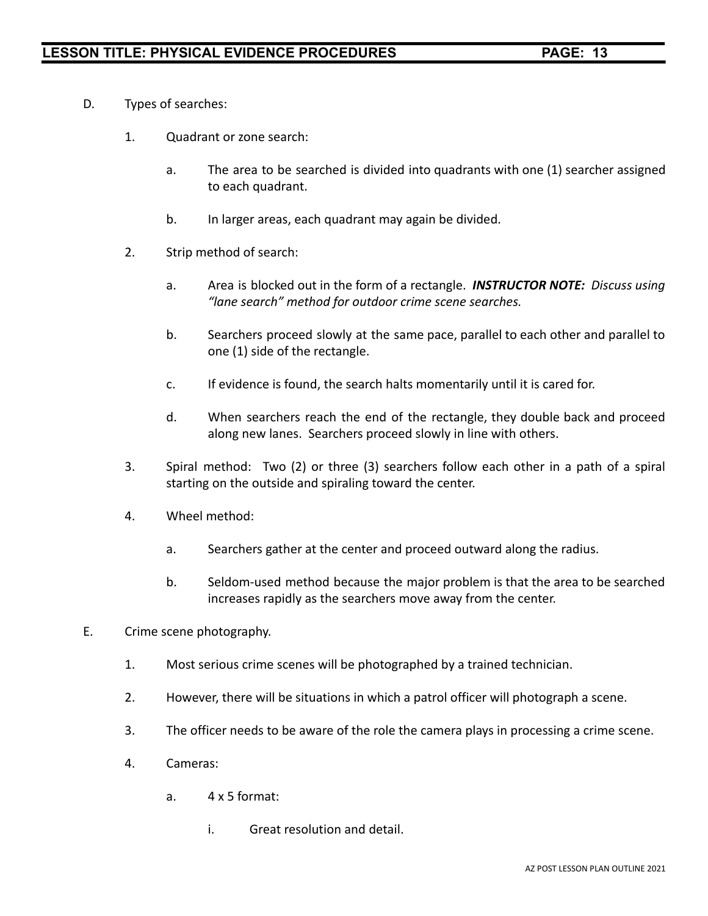- D. Types of searches:
	- 1. Quadrant or zone search:
		- a. The area to be searched is divided into quadrants with one (1) searcher assigned to each quadrant.
		- b. In larger areas, each quadrant may again be divided.
	- 2. Strip method of search:
		- a. Area is blocked out in the form of a rectangle. *INSTRUCTOR NOTE: Discuss using "lane search" method for outdoor crime scene searches.*
		- b. Searchers proceed slowly at the same pace, parallel to each other and parallel to one (1) side of the rectangle.
		- c. If evidence is found, the search halts momentarily until it is cared for.
		- d. When searchers reach the end of the rectangle, they double back and proceed along new lanes. Searchers proceed slowly in line with others.
	- 3. Spiral method: Two (2) or three (3) searchers follow each other in a path of a spiral starting on the outside and spiraling toward the center.
	- 4. Wheel method:
		- a. Searchers gather at the center and proceed outward along the radius.
		- b. Seldom-used method because the major problem is that the area to be searched increases rapidly as the searchers move away from the center.
- E. Crime scene photography.
	- 1. Most serious crime scenes will be photographed by a trained technician.
	- 2. However, there will be situations in which a patrol officer will photograph a scene.
	- 3. The officer needs to be aware of the role the camera plays in processing a crime scene.
	- 4. Cameras:
		- a. 4 x 5 format:
			- i. Great resolution and detail.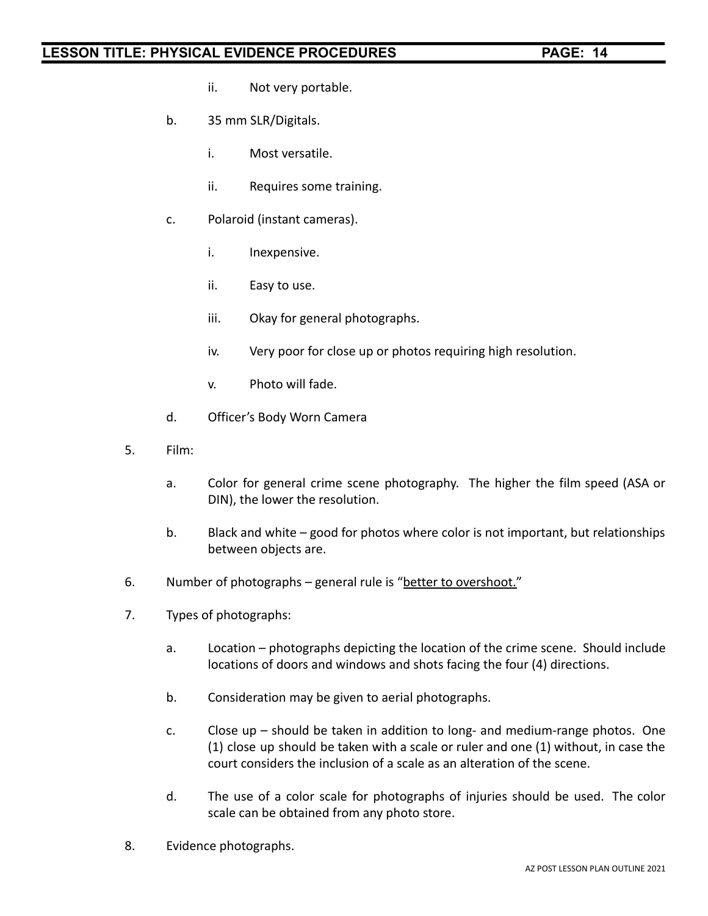- ii. Not very portable.
- b. 35 mm SLR/Digitals.
	- i. Most versatile.
	- ii. Requires some training.
- c. Polaroid (instant cameras).
	- i. Inexpensive.
	- ii. Easy to use.
	- iii. Okay for general photographs.
	- iv. Very poor for close up or photos requiring high resolution.
	- v. Photo will fade.
- d. Officer's Body Worn Camera
- 5. Film:
	- a. Color for general crime scene photography. The higher the film speed (ASA or DIN), the lower the resolution.
	- b. Black and white good for photos where color is not important, but relationships between objects are.
- 6. Number of photographs general rule is "better to overshoot."
- 7. Types of photographs:
	- a. Location photographs depicting the location of the crime scene. Should include locations of doors and windows and shots facing the four (4) directions.
	- b. Consideration may be given to aerial photographs.
	- c. Close up should be taken in addition to long- and medium-range photos. One (1) close up should be taken with a scale or ruler and one (1) without, in case the court considers the inclusion of a scale as an alteration of the scene.
	- d. The use of a color scale for photographs of injuries should be used. The color scale can be obtained from any photo store.
- 8. Evidence photographs.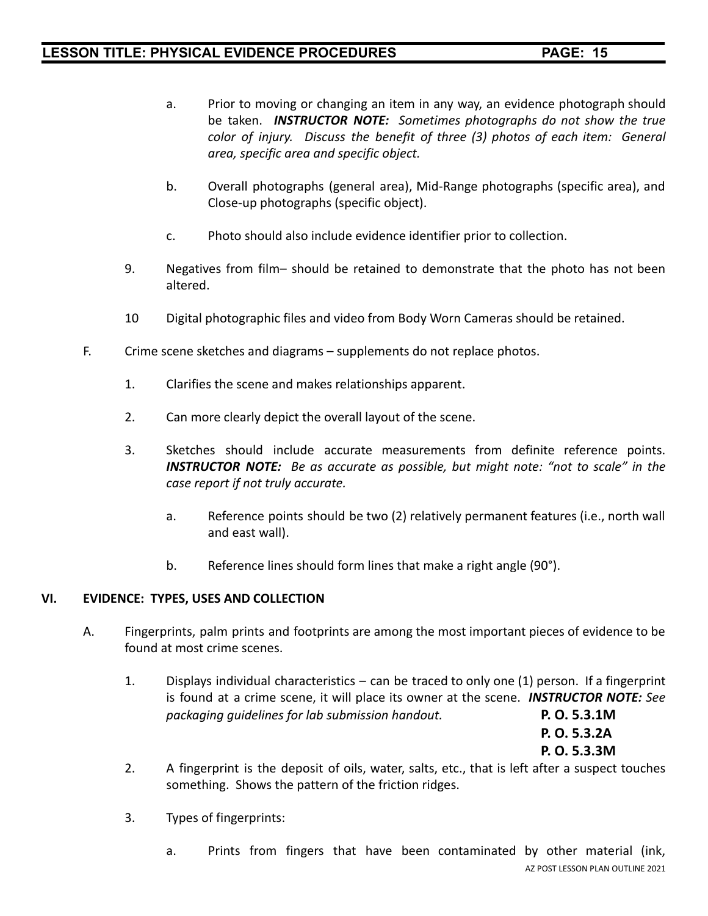- a. Prior to moving or changing an item in any way, an evidence photograph should be taken. *INSTRUCTOR NOTE: Sometimes photographs do not show the true color of injury. Discuss the benefit of three (3) photos of each item: General area, specific area and specific object.*
- b. Overall photographs (general area), Mid-Range photographs (specific area), and Close-up photographs (specific object).
- c. Photo should also include evidence identifier prior to collection.
- 9. Negatives from film– should be retained to demonstrate that the photo has not been altered.
- 10 Digital photographic files and video from Body Worn Cameras should be retained.
- F. Crime scene sketches and diagrams supplements do not replace photos.
	- 1. Clarifies the scene and makes relationships apparent.
	- 2. Can more clearly depict the overall layout of the scene.
	- 3. Sketches should include accurate measurements from definite reference points. *INSTRUCTOR NOTE: Be as accurate as possible, but might note: "not to scale" in the case report if not truly accurate.*
		- a. Reference points should be two (2) relatively permanent features (i.e., north wall and east wall).
		- b. Reference lines should form lines that make a right angle (90°).

#### **VI. EVIDENCE: TYPES, USES AND COLLECTION**

- A. Fingerprints, palm prints and footprints are among the most important pieces of evidence to be found at most crime scenes.
	- 1. Displays individual characteristics can be traced to only one (1) person. If a fingerprint is found at a crime scene, it will place its owner at the scene. *INSTRUCTOR NOTE: See packaging guidelines for lab submission handout.* **P. O. 5.3.1M**

**P. O. 5.3.2A P. O. 5.3.3M**

- 2. A fingerprint is the deposit of oils, water, salts, etc., that is left after a suspect touches something. Shows the pattern of the friction ridges.
- 3. Types of fingerprints:
	- a. Prints from fingers that have been contaminated by other material (ink, AZ POST LESSON PLAN OUTLINE 2021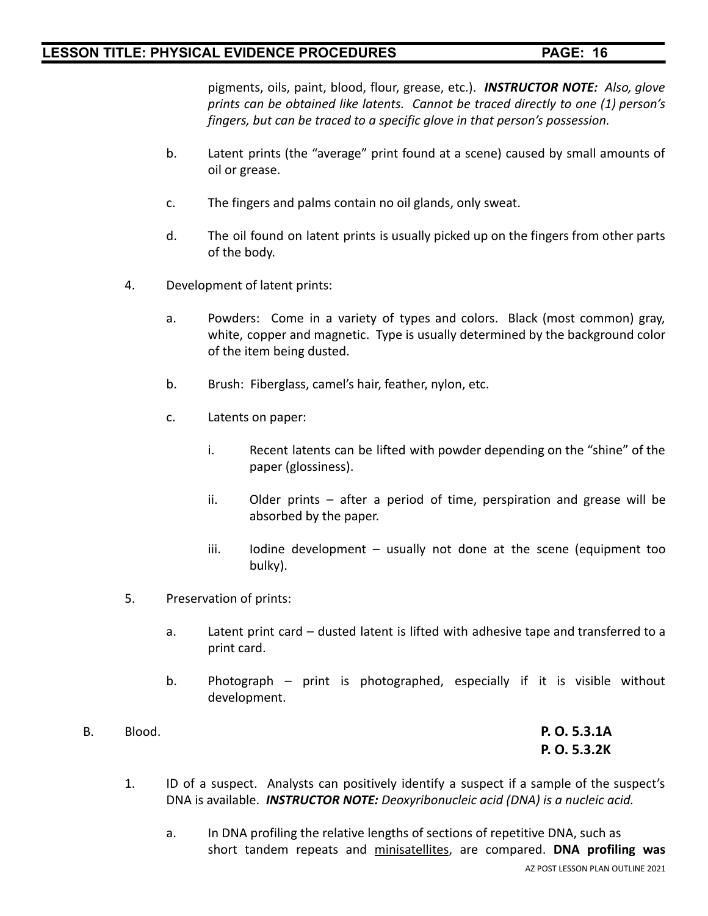pigments, oils, paint, blood, flour, grease, etc.). *INSTRUCTOR NOTE: Also, glove prints can be obtained like latents. Cannot be traced directly to one (1) person's fingers, but can be traced to a specific glove in that person's possession.*

- b. Latent prints (the "average" print found at a scene) caused by small amounts of oil or grease.
- c. The fingers and palms contain no oil glands, only sweat.
- d. The oil found on latent prints is usually picked up on the fingers from other parts of the body.
- 4. Development of latent prints:
	- a. Powders: Come in a variety of types and colors. Black (most common) gray, white, copper and magnetic. Type is usually determined by the background color of the item being dusted.
	- b. Brush: Fiberglass, camel's hair, feather, nylon, etc.
	- c. Latents on paper:
		- i. Recent latents can be lifted with powder depending on the "shine" of the paper (glossiness).
		- ii. Older prints after a period of time, perspiration and grease will be absorbed by the paper.
		- iii. Iodine development usually not done at the scene (equipment too bulky).
- 5. Preservation of prints:
	- a. Latent print card dusted latent is lifted with adhesive tape and transferred to a print card.
	- b. Photograph print is photographed, especially if it is visible without development.
- B. Blood. **P. O. 5.3.1A**

**P. O. 5.3.2K**

- 1. ID of a suspect. Analysts can positively identify a suspect if a sample of the suspect's DNA is available. *INSTRUCTOR NOTE: Deoxyribonucleic acid (DNA) is a nucleic acid.*
	- a. In DNA profiling the relative lengths of sections of repetitive DNA, such as short tandem repeats and minisatellites, are compared. **DNA profiling was**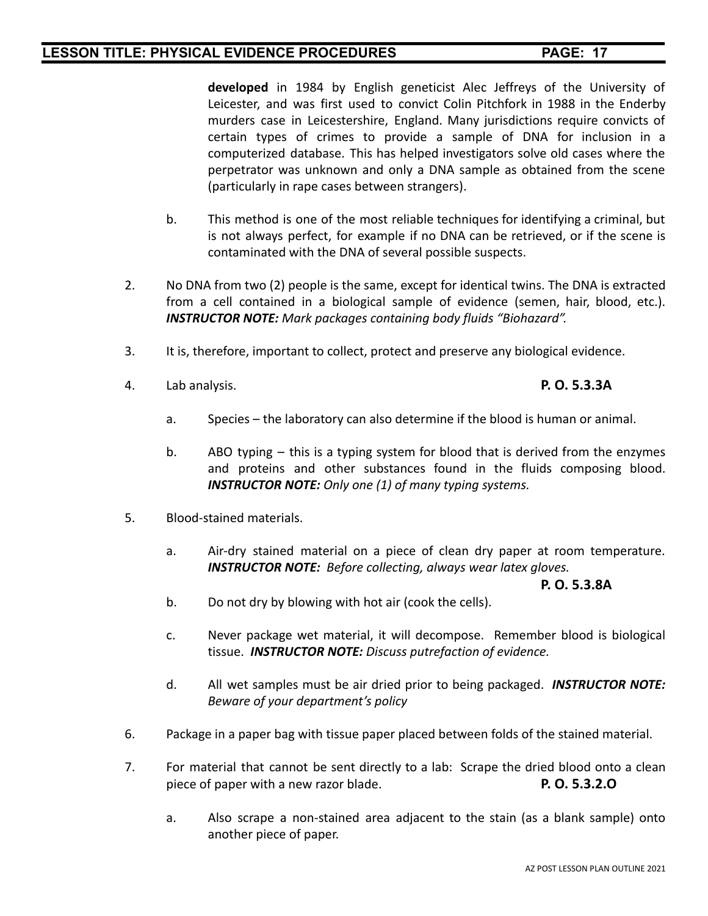**developed** in 1984 by English geneticist Alec Jeffreys of the University of Leicester, and was first used to convict Colin Pitchfork in 1988 in the Enderby murders case in Leicestershire, England. Many jurisdictions require convicts of certain types of crimes to provide a sample of DNA for inclusion in a computerized database. This has helped investigators solve old cases where the perpetrator was unknown and only a DNA sample as obtained from the scene (particularly in rape cases between strangers).

- b. This method is one of the most reliable techniques for identifying a criminal, but is not always perfect, for example if no DNA can be retrieved, or if the scene is contaminated with the DNA of several possible suspects.
- 2. No DNA from two (2) people is the same, except for identical twins. The DNA is extracted from a cell contained in a biological sample of evidence (semen, hair, blood, etc.). *INSTRUCTOR NOTE: Mark packages containing body fluids "Biohazard".*
- 3. It is, therefore, important to collect, protect and preserve any biological evidence.
- 4. Lab analysis. **P. O. 5.3.3A**

- a. Species the laboratory can also determine if the blood is human or animal.
- b. ABO typing this is a typing system for blood that is derived from the enzymes and proteins and other substances found in the fluids composing blood. *INSTRUCTOR NOTE: Only one (1) of many typing systems.*
- 5. Blood-stained materials.
	- a. Air-dry stained material on a piece of clean dry paper at room temperature. *INSTRUCTOR NOTE: Before collecting, always wear latex gloves.*

#### **P. O. 5.3.8A**

- b. Do not dry by blowing with hot air (cook the cells).
- c. Never package wet material, it will decompose. Remember blood is biological tissue. *INSTRUCTOR NOTE: Discuss putrefaction of evidence.*
- d. All wet samples must be air dried prior to being packaged. *INSTRUCTOR NOTE: Beware of your department's policy*
- 6. Package in a paper bag with tissue paper placed between folds of the stained material.
- 7. For material that cannot be sent directly to a lab: Scrape the dried blood onto a clean piece of paper with a new razor blade. **P. O. 5.3.2.O**
	- a. Also scrape a non-stained area adjacent to the stain (as a blank sample) onto another piece of paper.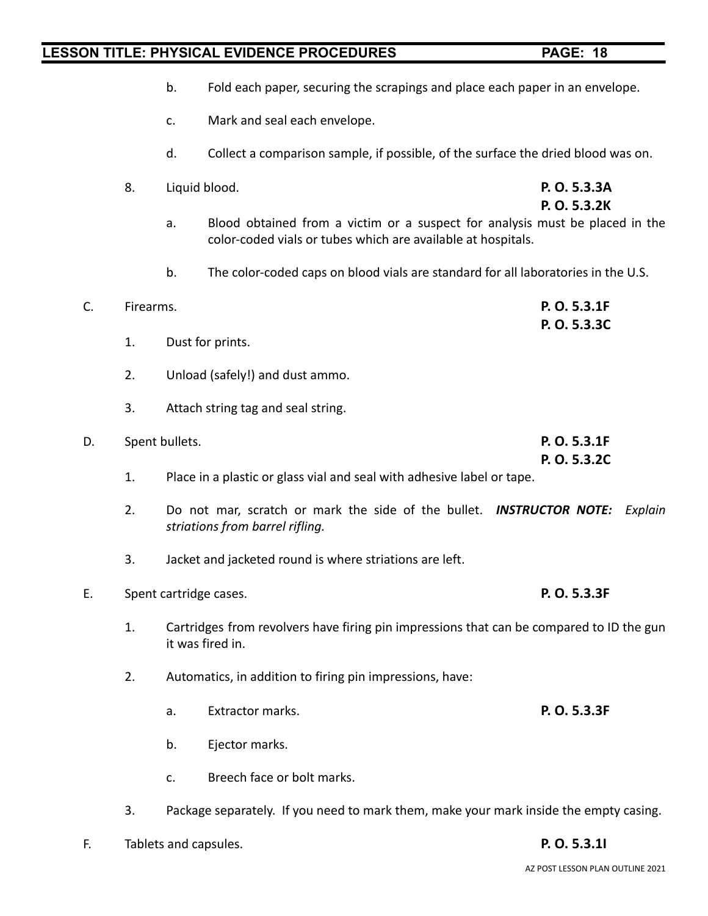- 
- b. Fold each paper, securing the scrapings and place each paper in an envelope.
- c. Mark and seal each envelope.
- d. Collect a comparison sample, if possible, of the surface the dried blood was on.
- 8. Liquid blood. **P. O. 5.3.3A**

**P. O. 5.3.2K**

- a. Blood obtained from a victim or a suspect for analysis must be placed in the color-coded vials or tubes which are available at hospitals.
- b. The color-coded caps on blood vials are standard for all laboratories in the U.S.

| C. | Firearms. |                |                                                                                                                | P. O. 5.3.1F |         |
|----|-----------|----------------|----------------------------------------------------------------------------------------------------------------|--------------|---------|
|    | 1.        |                | Dust for prints.                                                                                               | P. O. 5.3.3C |         |
|    |           |                |                                                                                                                |              |         |
|    | 2.        |                | Unload (safely!) and dust ammo.                                                                                |              |         |
|    | 3.        |                | Attach string tag and seal string.                                                                             |              |         |
| D. |           | Spent bullets. |                                                                                                                | P. O. 5.3.1F |         |
|    |           |                |                                                                                                                | P. O. 5.3.2C |         |
|    | 1.        |                | Place in a plastic or glass vial and seal with adhesive label or tape.                                         |              |         |
|    | 2.        |                | Do not mar, scratch or mark the side of the bullet. <b>INSTRUCTOR NOTE:</b><br>striations from barrel rifling. |              | Explain |
|    | 3.        |                | Jacket and jacketed round is where striations are left.                                                        |              |         |
| Ε. |           |                | Spent cartridge cases.                                                                                         | P. O. 5.3.3F |         |
|    | 1.        |                | Cartridges from revolvers have firing pin impressions that can be compared to ID the gun<br>it was fired in.   |              |         |
|    | 2.        |                | Automatics, in addition to firing pin impressions, have:                                                       |              |         |
|    |           | a.             | Extractor marks.                                                                                               | P. O. 5.3.3F |         |
|    |           | b.             | Ejector marks.                                                                                                 |              |         |
|    |           | c.             | Breech face or bolt marks.                                                                                     |              |         |
|    |           |                |                                                                                                                |              |         |

- 3. Package separately. If you need to mark them, make your mark inside the empty casing.
- F. Tablets and capsules. **P. O. 5.3.1I**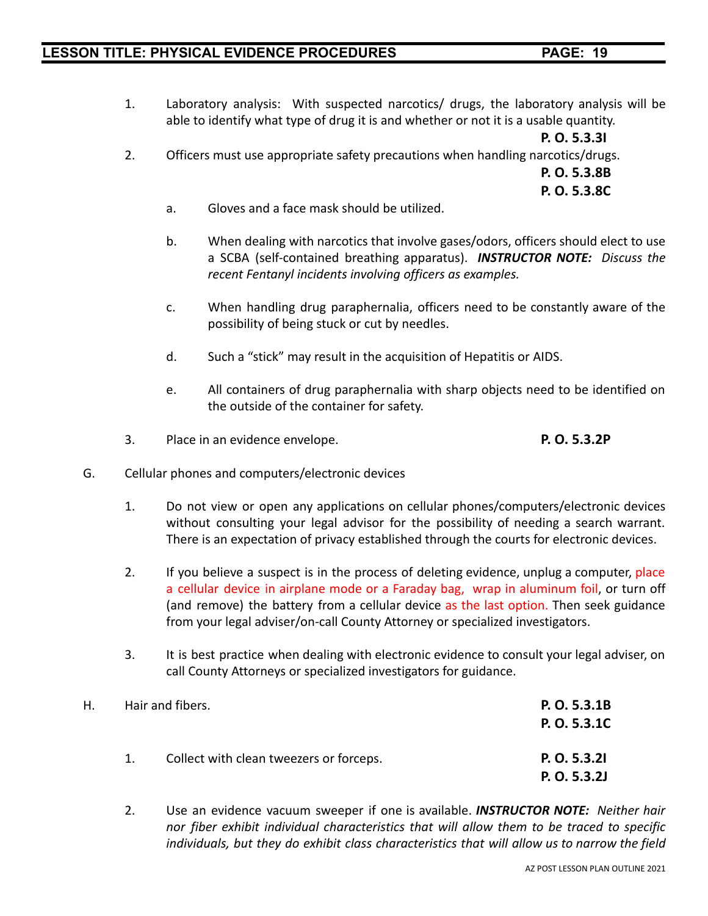1. Laboratory analysis: With suspected narcotics/ drugs, the laboratory analysis will be able to identify what type of drug it is and whether or not it is a usable quantity.

**P. O. 5.3.3I** 2. Officers must use appropriate safety precautions when handling narcotics/drugs.

> **P. O. 5.3.8B P. O. 5.3.8C**

- a. Gloves and a face mask should be utilized.
- b. When dealing with narcotics that involve gases/odors, officers should elect to use a SCBA (self-contained breathing apparatus). *INSTRUCTOR NOTE: Discuss the recent Fentanyl incidents involving officers as examples.*
- c. When handling drug paraphernalia, officers need to be constantly aware of the possibility of being stuck or cut by needles.
- d. Such a "stick" may result in the acquisition of Hepatitis or AIDS.
- e. All containers of drug paraphernalia with sharp objects need to be identified on the outside of the container for safety.
- 3. Place in an evidence envelope. **P. O. 5.3.2P**
- G. Cellular phones and computers/electronic devices
	- 1. Do not view or open any applications on cellular phones/computers/electronic devices without consulting your legal advisor for the possibility of needing a search warrant. There is an expectation of privacy established through the courts for electronic devices.
	- 2. If you believe a suspect is in the process of deleting evidence, unplug a computer, place a cellular device in airplane mode or a Faraday bag, wrap in aluminum foil, or turn off (and remove) the battery from a cellular device as the last option. Then seek guidance from your legal adviser/on-call County Attorney or specialized investigators.
	- 3. It is best practice when dealing with electronic evidence to consult your legal adviser, on call County Attorneys or specialized investigators for guidance.

| Н. |    | Hair and fibers.                        | P. O. 5.3.1B |
|----|----|-----------------------------------------|--------------|
|    |    |                                         | P. O. 5.3.1C |
|    | 1. | Collect with clean tweezers or forceps. | P. O. 5.3.21 |
|    |    |                                         | P. O. 5.3.2J |

2. Use an evidence vacuum sweeper if one is available. *INSTRUCTOR NOTE: Neither hair nor fiber exhibit individual characteristics that will allow them to be traced to specific individuals, but they do exhibit class characteristics that will allow us to narrow the field*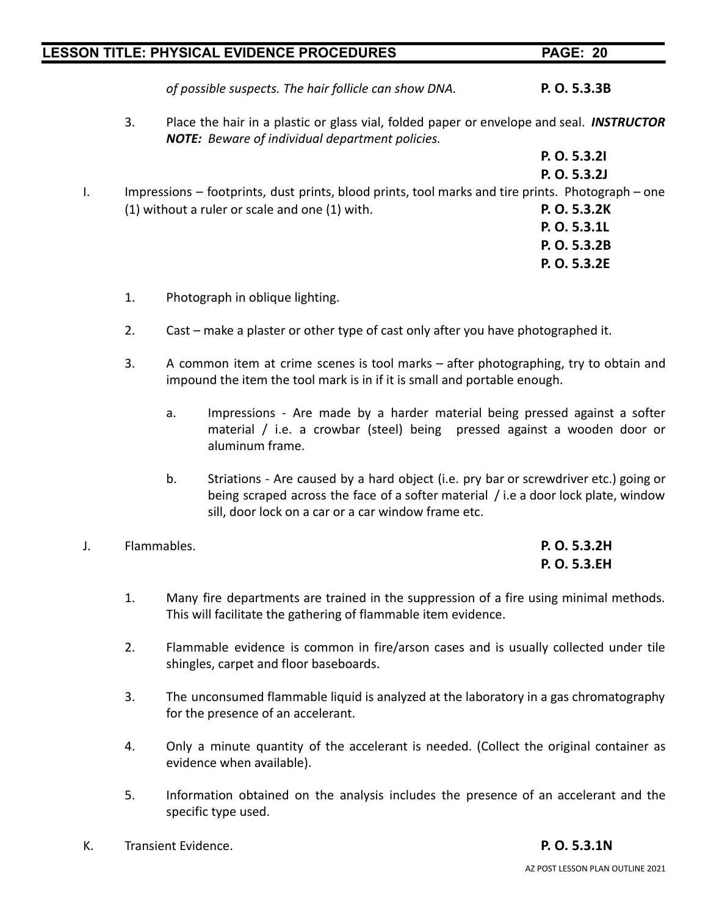**P. O. 5.3.2I**

*of possible suspects. The hair follicle can show DNA.* **P. O. 5.3.3B**

3. Place the hair in a plastic or glass vial, folded paper or envelope and seal. *INSTRUCTOR NOTE: Beware of individual department policies.*

| P. O. 5.3.2J                                                                                      |
|---------------------------------------------------------------------------------------------------|
|                                                                                                   |
| Impressions – footprints, dust prints, blood prints, tool marks and tire prints. Photograph – one |
| P. O. 5.3.2K                                                                                      |
| P. O. 5.3.1L                                                                                      |
| P. O. 5.3.2B                                                                                      |
| P. O. 5.3.2E                                                                                      |
|                                                                                                   |

- 1. Photograph in oblique lighting.
- 2. Cast make a plaster or other type of cast only after you have photographed it.
- 3. A common item at crime scenes is tool marks after photographing, try to obtain and impound the item the tool mark is in if it is small and portable enough.
	- a. Impressions Are made by a harder material being pressed against a softer material / i.e. a crowbar (steel) being pressed against a wooden door or aluminum frame.
	- b. Striations Are caused by a hard object (i.e. pry bar or screwdriver etc.) going or being scraped across the face of a softer material / i.e a door lock plate, window sill, door lock on a car or a car window frame etc.
- J. Flammables. **P. O. 5.3.2H**

# **P. O. 5.3.EH**

- 1. Many fire departments are trained in the suppression of a fire using minimal methods. This will facilitate the gathering of flammable item evidence.
- 2. Flammable evidence is common in fire/arson cases and is usually collected under tile shingles, carpet and floor baseboards.
- 3. The unconsumed flammable liquid is analyzed at the laboratory in a gas chromatography for the presence of an accelerant.
- 4. Only a minute quantity of the accelerant is needed. (Collect the original container as evidence when available).
- 5. Information obtained on the analysis includes the presence of an accelerant and the specific type used.
- K. Transient Evidence. **P. O. 5.3.1N**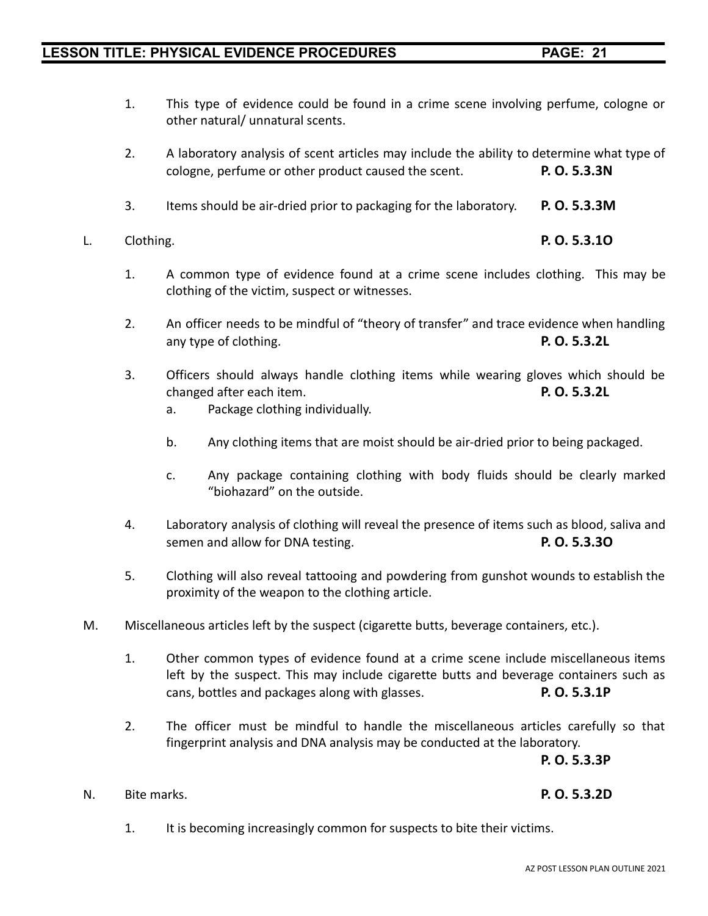1. This type of evidence could be found in a crime scene involving perfume, cologne or

2. A laboratory analysis of scent articles may include the ability to determine what type of

- 3. Items should be air-dried prior to packaging for the laboratory. **P. O. 5.3.3M**
- L. Clothing. **P. O. 5.3.1O**
	- 1. A common type of evidence found at a crime scene includes clothing. This may be clothing of the victim, suspect or witnesses.
	- 2. An officer needs to be mindful of "theory of transfer" and trace evidence when handling any type of clothing. **P. O. 5.3.2L**
	- 3. Officers should always handle clothing items while wearing gloves which should be changed after each item. **P. O. 5.3.2L**
		- a. Package clothing individually.
		- b. Any clothing items that are moist should be air-dried prior to being packaged.
		- c. Any package containing clothing with body fluids should be clearly marked "biohazard" on the outside.
	- 4. Laboratory analysis of clothing will reveal the presence of items such as blood, saliva and semen and allow for DNA testing. **P. O. 5.3.3O**
	- 5. Clothing will also reveal tattooing and powdering from gunshot wounds to establish the proximity of the weapon to the clothing article.
- M. Miscellaneous articles left by the suspect (cigarette butts, beverage containers, etc.).
	- 1. Other common types of evidence found at a crime scene include miscellaneous items left by the suspect. This may include cigarette butts and beverage containers such as cans, bottles and packages along with glasses. **P. O. 5.3.1P**
	- 2. The officer must be mindful to handle the miscellaneous articles carefully so that fingerprint analysis and DNA analysis may be conducted at the laboratory.

**P. O. 5.3.3P**

#### N. Bite marks. **P. O. 5.3.2D**

1. It is becoming increasingly common for suspects to bite their victims.

other natural/ unnatural scents.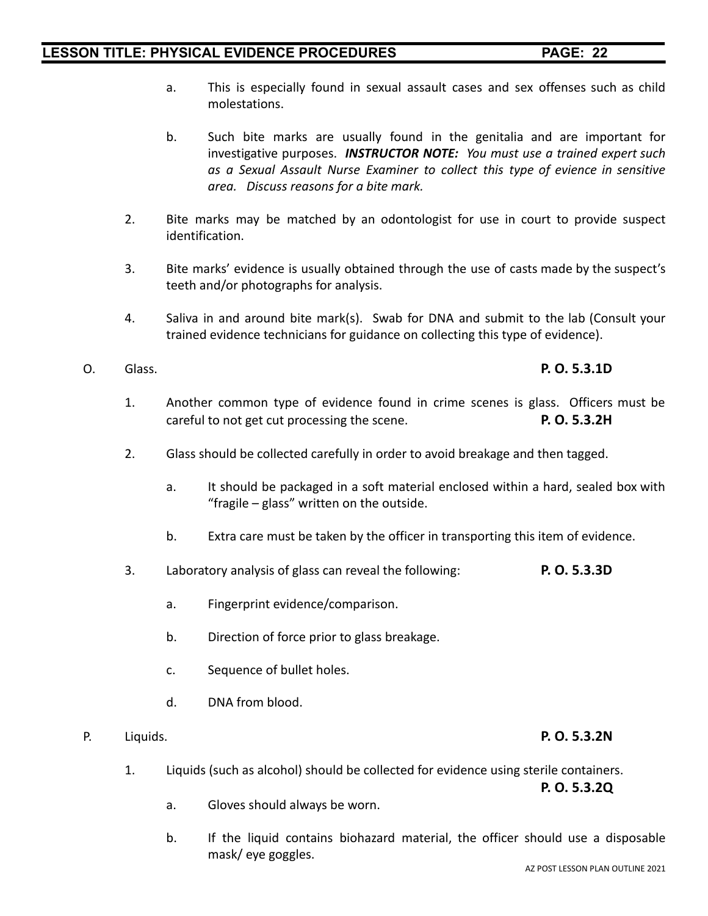- 
- a. This is especially found in sexual assault cases and sex offenses such as child molestations.
- b. Such bite marks are usually found in the genitalia and are important for investigative purposes. *INSTRUCTOR NOTE: You must use a trained expert such as a Sexual Assault Nurse Examiner to collect this type of evience in sensitive area. Discuss reasons for a bite mark.*
- 2. Bite marks may be matched by an odontologist for use in court to provide suspect identification.
- 3. Bite marks' evidence is usually obtained through the use of casts made by the suspect's teeth and/or photographs for analysis.
- 4. Saliva in and around bite mark(s). Swab for DNA and submit to the lab (Consult your trained evidence technicians for guidance on collecting this type of evidence).
- O. Glass. **P. O. 5.3.1D**
	- 1. Another common type of evidence found in crime scenes is glass. Officers must be careful to not get cut processing the scene. **P. O. 5.3.2H**
	- 2. Glass should be collected carefully in order to avoid breakage and then tagged.
		- a. It should be packaged in a soft material enclosed within a hard, sealed box with "fragile – glass" written on the outside.
		- b. Extra care must be taken by the officer in transporting this item of evidence.
	- 3. Laboratory analysis of glass can reveal the following: **P. O. 5.3.3D**
		- a. Fingerprint evidence/comparison.
		- b. Direction of force prior to glass breakage.
		- c. Sequence of bullet holes.
		- d. DNA from blood.
- P. Liquids. **P. O. 5.3.2N**
	- 1. Liquids (such as alcohol) should be collected for evidence using sterile containers.

**P. O. 5.3.2Q**

- a. Gloves should always be worn.
- b. If the liquid contains biohazard material, the officer should use a disposable mask/ eye goggles.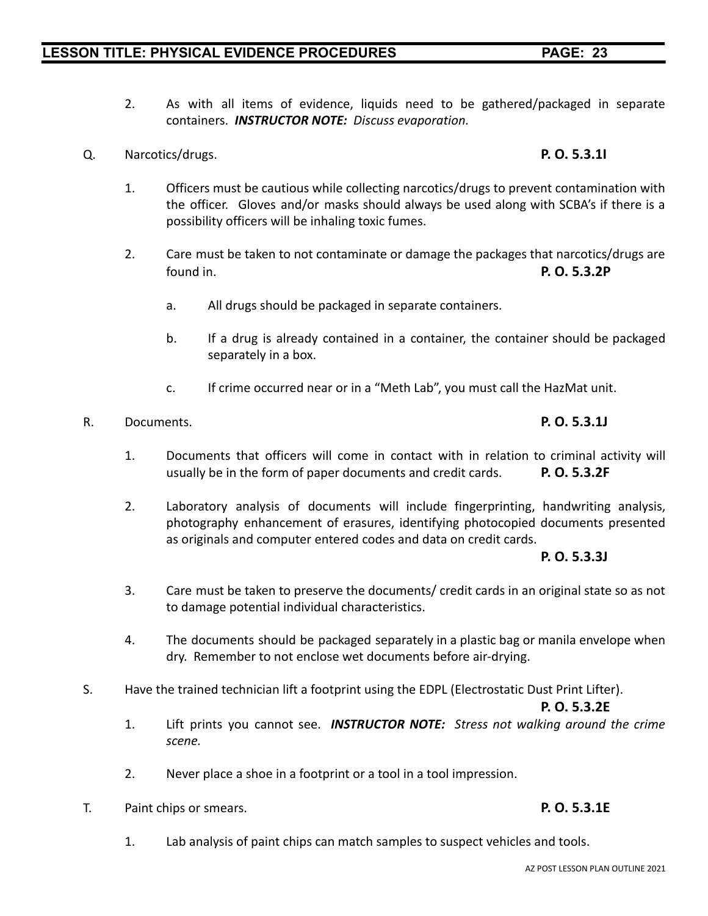- 2. As with all items of evidence, liquids need to be gathered/packaged in separate containers. *INSTRUCTOR NOTE: Discuss evaporation.*
- Q. Narcotics/drugs. **P. O. 5.3.1I**
	- 1. Officers must be cautious while collecting narcotics/drugs to prevent contamination with the officer. Gloves and/or masks should always be used along with SCBA's if there is a possibility officers will be inhaling toxic fumes.
	- 2. Care must be taken to not contaminate or damage the packages that narcotics/drugs are found in. **P. O. 5.3.2P**
		- a. All drugs should be packaged in separate containers.
		- b. If a drug is already contained in a container, the container should be packaged separately in a box.
		- c. If crime occurred near or in a "Meth Lab", you must call the HazMat unit.

#### R. Documents. **P. O. 5.3.1J**

- 1. Documents that officers will come in contact with in relation to criminal activity will usually be in the form of paper documents and credit cards. **P. O. 5.3.2F**
- 2. Laboratory analysis of documents will include fingerprinting, handwriting analysis, photography enhancement of erasures, identifying photocopied documents presented as originals and computer entered codes and data on credit cards.

#### **P. O. 5.3.3J**

- 3. Care must be taken to preserve the documents/ credit cards in an original state so as not to damage potential individual characteristics.
- 4. The documents should be packaged separately in a plastic bag or manila envelope when dry. Remember to not enclose wet documents before air-drying.
- S. Have the trained technician lift a footprint using the EDPL (Electrostatic Dust Print Lifter).

1. Lab analysis of paint chips can match samples to suspect vehicles and tools.

**P. O. 5.3.2E**

- 1. Lift prints you cannot see. *INSTRUCTOR NOTE: Stress not walking around the crime scene.*
- 2. Never place a shoe in a footprint or a tool in a tool impression.
- T. Paint chips or smears. **P. O. 5.3.1E**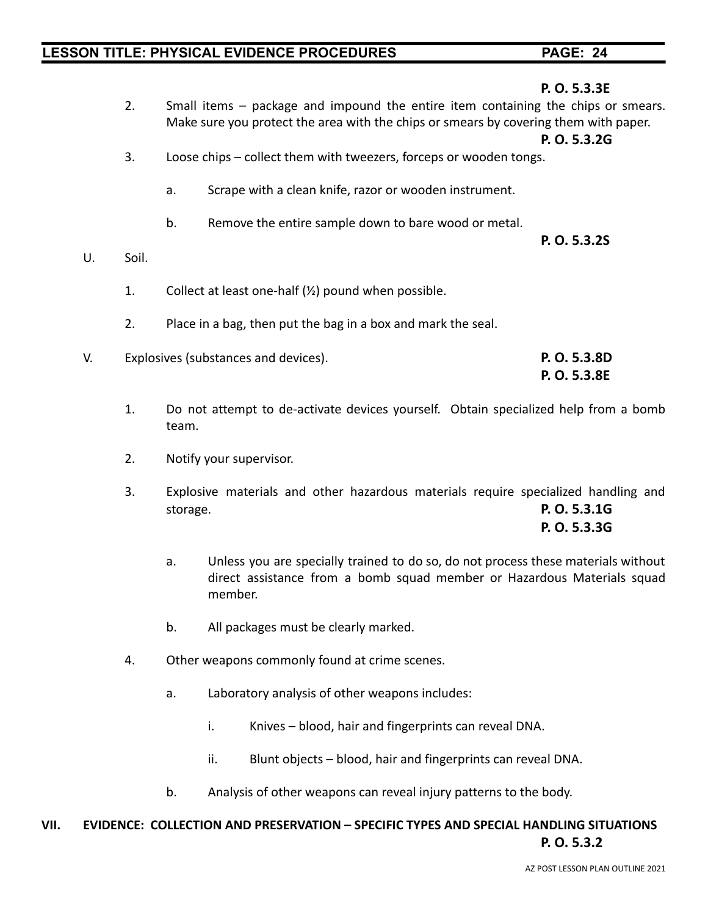| 2.                                         | Small items – package and impound the entire item containing the chips or smears.    |
|--------------------------------------------|--------------------------------------------------------------------------------------|
|                                            | Make sure you protect the area with the chips or smears by covering them with paper. |
|                                            | P. O. 5.3.2G                                                                         |
| 3.                                         | Loose chips – collect them with tweezers, forceps or wooden tongs.                   |
| a.                                         | Scrape with a clean knife, razor or wooden instrument.                               |
| b.                                         | Remove the entire sample down to bare wood or metal.                                 |
|                                            | P. O. 5.3.2S                                                                         |
| Soil.<br>U.                                |                                                                                      |
|                                            |                                                                                      |
| 1.                                         | Collect at least one-half $(\frac{1}{2})$ pound when possible.                       |
|                                            |                                                                                      |
| 2.                                         | Place in a bag, then put the bag in a box and mark the seal.                         |
| Explosives (substances and devices).<br>V. | P. O. 5.3.8D                                                                         |
|                                            | P. O. 5.3.8E                                                                         |
|                                            |                                                                                      |

- 1. Do not attempt to de-activate devices yourself. Obtain specialized help from a bomb team.
- 2. Notify your supervisor.
- 3. Explosive materials and other hazardous materials require specialized handling and storage. **P. O. 5.3.1G**

**P. O. 5.3.3G**

- a. Unless you are specially trained to do so, do not process these materials without direct assistance from a bomb squad member or Hazardous Materials squad member.
- b. All packages must be clearly marked.
- 4. Other weapons commonly found at crime scenes.
	- a. Laboratory analysis of other weapons includes:
		- i. Knives blood, hair and fingerprints can reveal DNA.
		- ii. Blunt objects blood, hair and fingerprints can reveal DNA.
	- b. Analysis of other weapons can reveal injury patterns to the body.

### **VII. EVIDENCE: COLLECTION AND PRESERVATION – SPECIFIC TYPES AND SPECIAL HANDLING SITUATIONS P. O. 5.3.2**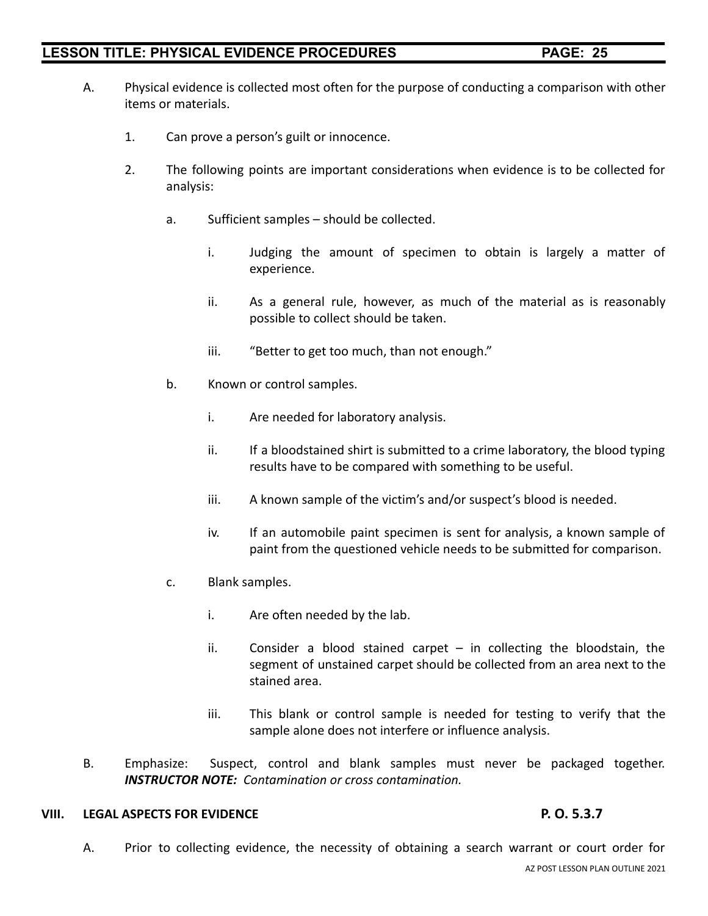- A. Physical evidence is collected most often for the purpose of conducting a comparison with other items or materials.
	- 1. Can prove a person's guilt or innocence.
	- 2. The following points are important considerations when evidence is to be collected for analysis:
		- a. Sufficient samples should be collected.
			- i. Judging the amount of specimen to obtain is largely a matter of experience.
			- ii. As a general rule, however, as much of the material as is reasonably possible to collect should be taken.
			- iii. "Better to get too much, than not enough."
		- b. Known or control samples.
			- i. Are needed for laboratory analysis.
			- ii. If a bloodstained shirt is submitted to a crime laboratory, the blood typing results have to be compared with something to be useful.
			- iii. A known sample of the victim's and/or suspect's blood is needed.
			- iv. If an automobile paint specimen is sent for analysis, a known sample of paint from the questioned vehicle needs to be submitted for comparison.
		- c. Blank samples.
			- i. Are often needed by the lab.
			- ii. Consider a blood stained carpet  $-$  in collecting the bloodstain, the segment of unstained carpet should be collected from an area next to the stained area.
			- iii. This blank or control sample is needed for testing to verify that the sample alone does not interfere or influence analysis.
- B. Emphasize: Suspect, control and blank samples must never be packaged together. *INSTRUCTOR NOTE: Contamination or cross contamination.*

#### **VIII. LEGAL ASPECTS FOR EVIDENCE P. O. 5.3.7**

A. Prior to collecting evidence, the necessity of obtaining a search warrant or court order for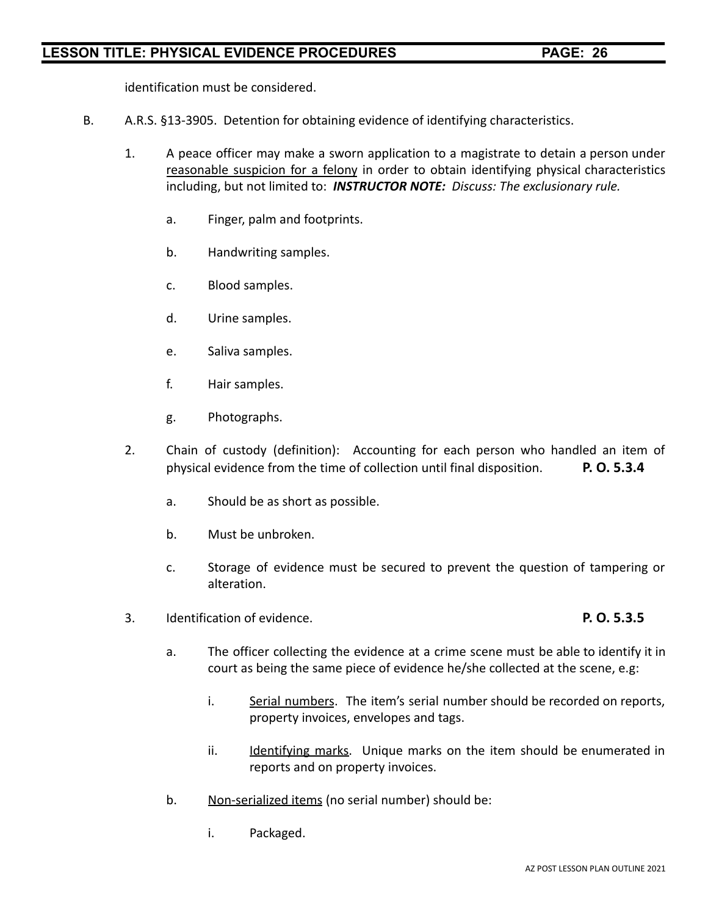identification must be considered.

- B. A.R.S. §13-3905. Detention for obtaining evidence of identifying characteristics.
	- 1. A peace officer may make a sworn application to a magistrate to detain a person under reasonable suspicion for a felony in order to obtain identifying physical characteristics including, but not limited to: *INSTRUCTOR NOTE: Discuss: The exclusionary rule.*
		- a. Finger, palm and footprints.
		- b. Handwriting samples.
		- c. Blood samples.
		- d. Urine samples.
		- e. Saliva samples.
		- f. Hair samples.
		- g. Photographs.
	- 2. Chain of custody (definition): Accounting for each person who handled an item of physical evidence from the time of collection until final disposition. **P. O. 5.3.4**
		- a. Should be as short as possible.
		- b. Must be unbroken.
		- c. Storage of evidence must be secured to prevent the question of tampering or alteration.
	- 3. Identification of evidence. **P. O. 5.3.5**

- a. The officer collecting the evidence at a crime scene must be able to identify it in court as being the same piece of evidence he/she collected at the scene, e.g:
	- i. Serial numbers. The item's serial number should be recorded on reports, property invoices, envelopes and tags.
	- ii. Identifying marks. Unique marks on the item should be enumerated in reports and on property invoices.
- b. Non-serialized items (no serial number) should be:
	- i. Packaged.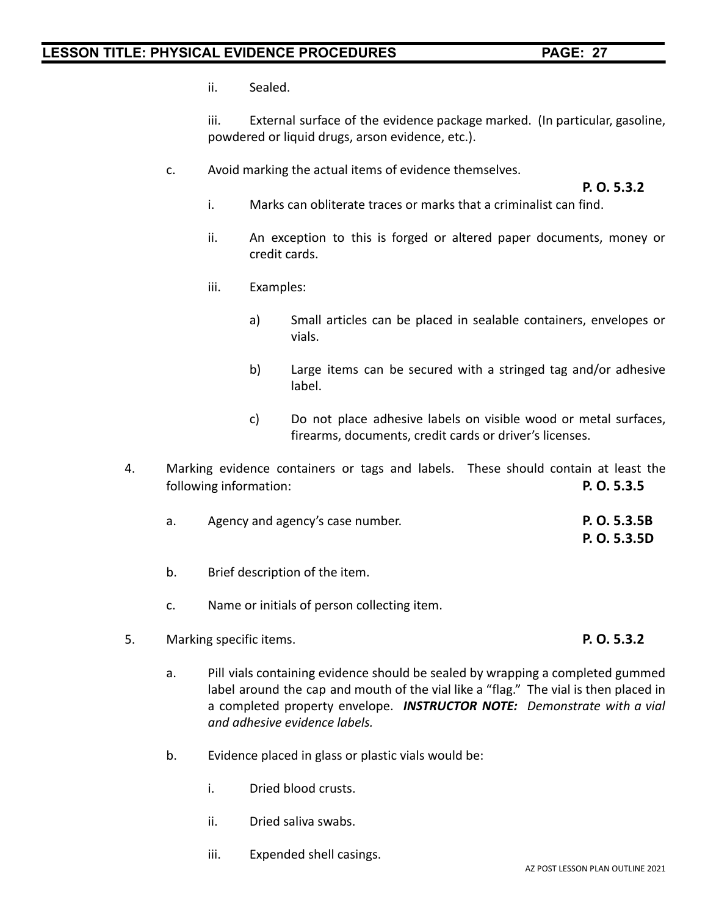ii. Sealed.

iii. External surface of the evidence package marked. (In particular, gasoline, powdered or liquid drugs, arson evidence, etc.).

c. Avoid marking the actual items of evidence themselves.

**P. O. 5.3.2**

- i. Marks can obliterate traces or marks that a criminalist can find.
- ii. An exception to this is forged or altered paper documents, money or credit cards.
- iii. Examples:
	- a) Small articles can be placed in sealable containers, envelopes or vials.
	- b) Large items can be secured with a stringed tag and/or adhesive label.
	- c) Do not place adhesive labels on visible wood or metal surfaces, firearms, documents, credit cards or driver's licenses.
- 4. Marking evidence containers or tags and labels. These should contain at least the following information: **P. O. 5.3.5**
	- a. Agency and agency's case number. **P. O. 5.3.5B**
	- b. Brief description of the item.
	- c. Name or initials of person collecting item.
- 5. Marking specific items. **P. O. 5.3.2**

**P. O. 5.3.5D**

- a. Pill vials containing evidence should be sealed by wrapping a completed gummed label around the cap and mouth of the vial like a "flag." The vial is then placed in a completed property envelope. *INSTRUCTOR NOTE: Demonstrate with a vial and adhesive evidence labels.*
- b. Evidence placed in glass or plastic vials would be:
	- i. Dried blood crusts.
	- ii. Dried saliva swabs.
	- iii. Expended shell casings.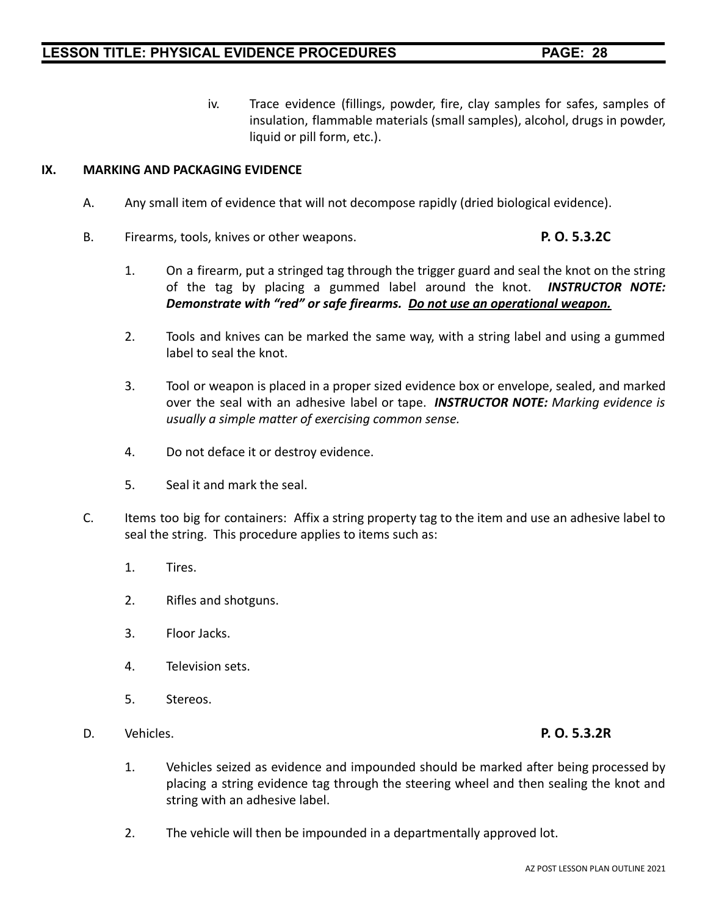iv. Trace evidence (fillings, powder, fire, clay samples for safes, samples of insulation, flammable materials (small samples), alcohol, drugs in powder, liquid or pill form, etc.).

#### **IX. MARKING AND PACKAGING EVIDENCE**

- A. Any small item of evidence that will not decompose rapidly (dried biological evidence).
- B. Firearms, tools, knives or other weapons. **P. O. 5.3.2C**
	- 1. On a firearm, put a stringed tag through the trigger guard and seal the knot on the string of the tag by placing a gummed label around the knot. *INSTRUCTOR NOTE: Demonstrate with "red" or safe firearms. Do not use an operational weapon.*
	- 2. Tools and knives can be marked the same way, with a string label and using a gummed label to seal the knot.
	- 3. Tool or weapon is placed in a proper sized evidence box or envelope, sealed, and marked over the seal with an adhesive label or tape. *INSTRUCTOR NOTE: Marking evidence is usually a simple matter of exercising common sense.*
	- 4. Do not deface it or destroy evidence.
	- 5. Seal it and mark the seal.
- C. Items too big for containers: Affix a string property tag to the item and use an adhesive label to seal the string. This procedure applies to items such as:
	- 1. Tires.
	- 2. Rifles and shotguns.
	- 3. Floor Jacks.
	- 4. Television sets.
	- 5. Stereos.
- D. Vehicles. **P. O. 5.3.2R**

- 1. Vehicles seized as evidence and impounded should be marked after being processed by placing a string evidence tag through the steering wheel and then sealing the knot and string with an adhesive label.
- 2. The vehicle will then be impounded in a departmentally approved lot.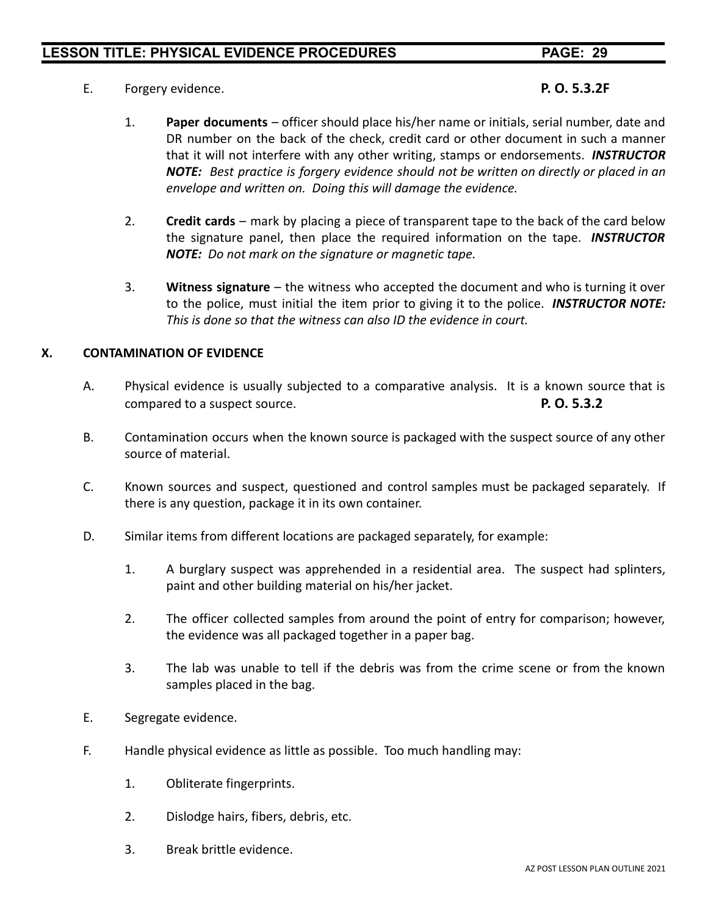E. Forgery evidence. **P. O. 5.3.2F**

- 1. **Paper documents** officer should place his/her name or initials, serial number, date and DR number on the back of the check, credit card or other document in such a manner that it will not interfere with any other writing, stamps or endorsements. *INSTRUCTOR NOTE: Best practice is forgery evidence should not be written on directly or placed in an envelope and written on. Doing this will damage the evidence.*
- 2. **Credit cards** mark by placing a piece of transparent tape to the back of the card below the signature panel, then place the required information on the tape. *INSTRUCTOR NOTE: Do not mark on the signature or magnetic tape.*
- 3. **Witness signature** the witness who accepted the document and who is turning it over to the police, must initial the item prior to giving it to the police. *INSTRUCTOR NOTE: This is done so that the witness can also ID the evidence in court.*

#### **X. CONTAMINATION OF EVIDENCE**

- A. Physical evidence is usually subjected to a comparative analysis. It is a known source that is compared to a suspect source. **P. O. 5.3.2**
- B. Contamination occurs when the known source is packaged with the suspect source of any other source of material.
- C. Known sources and suspect, questioned and control samples must be packaged separately. If there is any question, package it in its own container.
- D. Similar items from different locations are packaged separately, for example:
	- 1. A burglary suspect was apprehended in a residential area. The suspect had splinters, paint and other building material on his/her jacket.
	- 2. The officer collected samples from around the point of entry for comparison; however, the evidence was all packaged together in a paper bag.
	- 3. The lab was unable to tell if the debris was from the crime scene or from the known samples placed in the bag.
- E. Segregate evidence.
- F. Handle physical evidence as little as possible. Too much handling may:
	- 1. Obliterate fingerprints.
	- 2. Dislodge hairs, fibers, debris, etc.
	- 3. Break brittle evidence.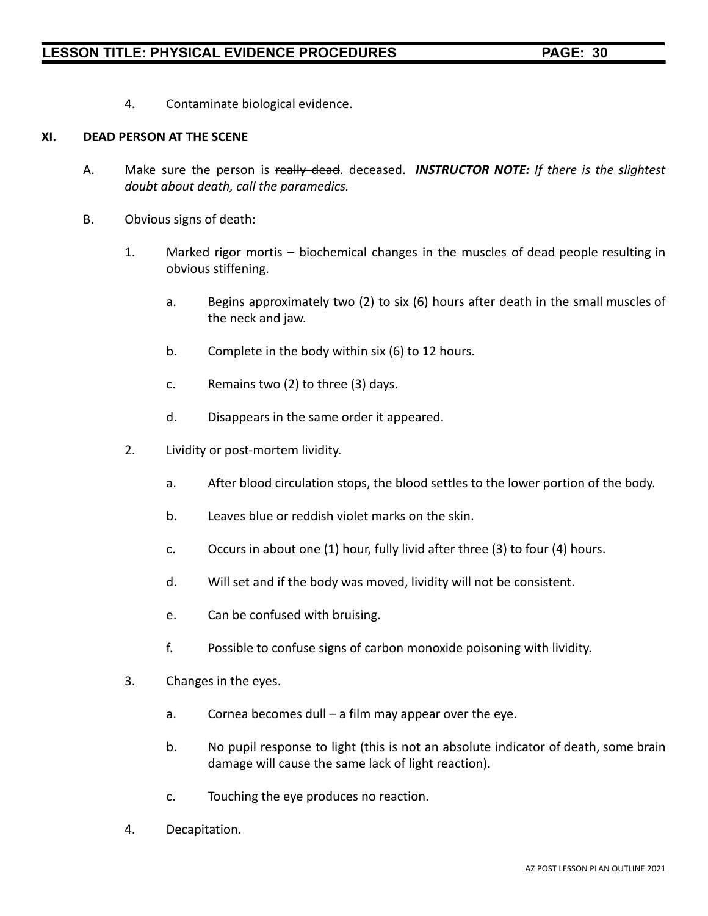4. Contaminate biological evidence.

#### **XI. DEAD PERSON AT THE SCENE**

- A. Make sure the person is really dead. deceased. *INSTRUCTOR NOTE: If there is the slightest doubt about death, call the paramedics.*
- B. Obvious signs of death:
	- 1. Marked rigor mortis biochemical changes in the muscles of dead people resulting in obvious stiffening.
		- a. Begins approximately two (2) to six (6) hours after death in the small muscles of the neck and jaw.
		- b. Complete in the body within six (6) to 12 hours.
		- c. Remains two (2) to three (3) days.
		- d. Disappears in the same order it appeared.
	- 2. Lividity or post-mortem lividity.
		- a. After blood circulation stops, the blood settles to the lower portion of the body.
		- b. Leaves blue or reddish violet marks on the skin.
		- c. Occurs in about one (1) hour, fully livid after three (3) to four (4) hours.
		- d. Will set and if the body was moved, lividity will not be consistent.
		- e. Can be confused with bruising.
		- f. Possible to confuse signs of carbon monoxide poisoning with lividity.
	- 3. Changes in the eyes.
		- a. Cornea becomes dull a film may appear over the eye.
		- b. No pupil response to light (this is not an absolute indicator of death, some brain damage will cause the same lack of light reaction).
		- c. Touching the eye produces no reaction.
	- 4. Decapitation.